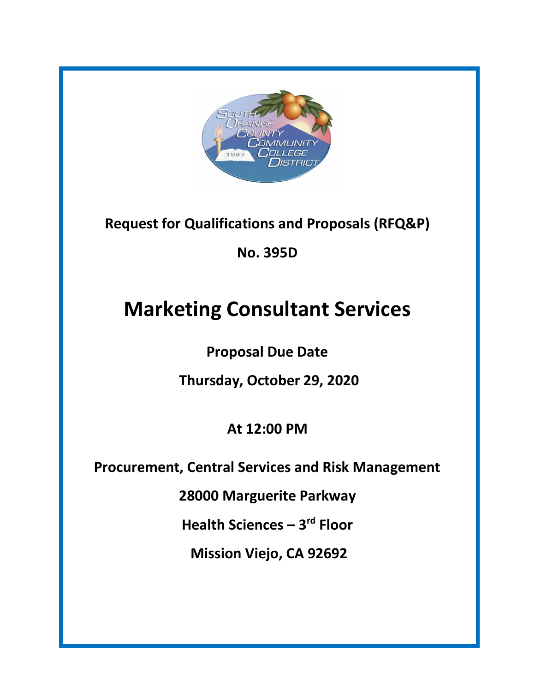

**Request for Qualifications and Proposals (RFQ&P)**

**No. 395D**

# **Marketing Consultant Services**

**Proposal Due Date**

**Thursday, October 29, 2020**

**At 12:00 PM**

**Procurement, Central Services and Risk Management**

**28000 Marguerite Parkway**

**Health Sciences – 3 rd Floor**

**Mission Viejo, CA 92692**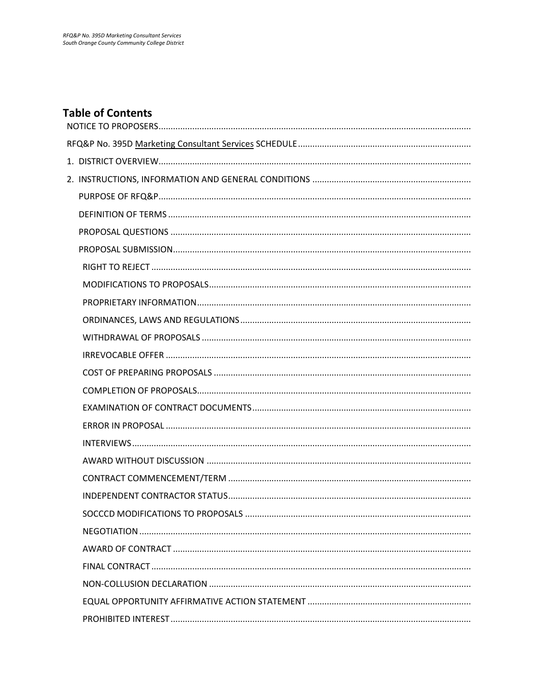# **Table of Contents**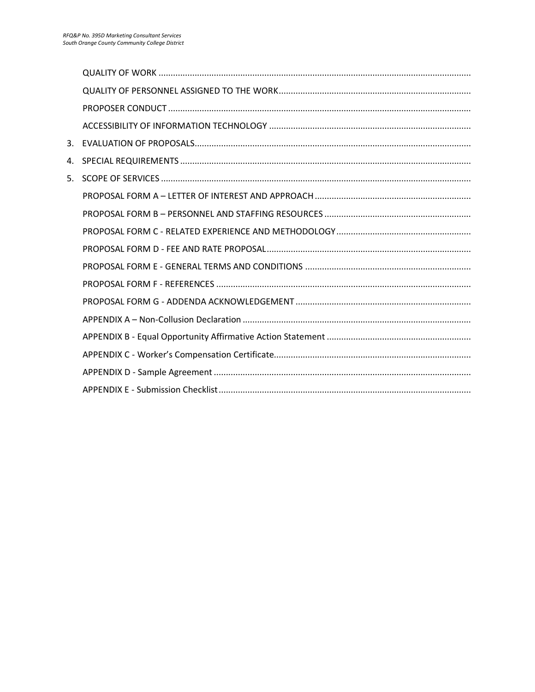| 3. |  |
|----|--|
| 4. |  |
| 5. |  |
|    |  |
|    |  |
|    |  |
|    |  |
|    |  |
|    |  |
|    |  |
|    |  |
|    |  |
|    |  |
|    |  |
|    |  |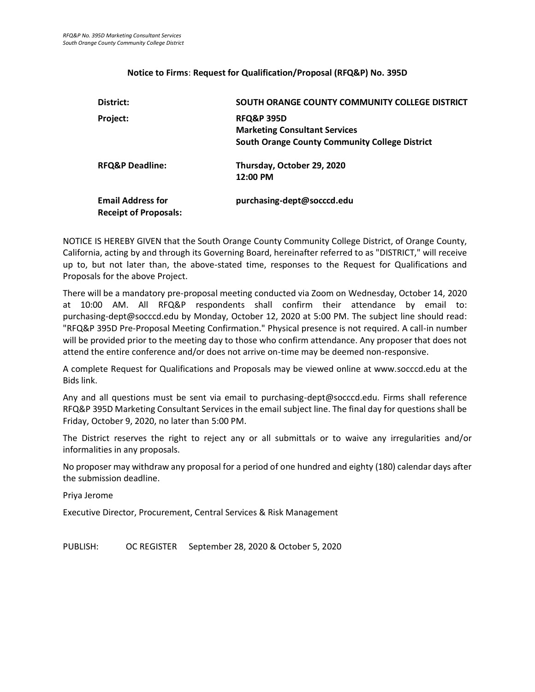#### **Notice to Firms**: **Request for Qualification/Proposal (RFQ&P) No. 395D**

<span id="page-3-0"></span>

| District:                                                | SOUTH ORANGE COUNTY COMMUNITY COLLEGE DISTRICT                                                                         |
|----------------------------------------------------------|------------------------------------------------------------------------------------------------------------------------|
| Project:                                                 | <b>RFQ&amp;P 395D</b><br><b>Marketing Consultant Services</b><br><b>South Orange County Community College District</b> |
| <b>RFQ&amp;P Deadline:</b>                               | Thursday, October 29, 2020<br>12:00 PM                                                                                 |
| <b>Email Address for</b><br><b>Receipt of Proposals:</b> | purchasing-dept@socccd.edu                                                                                             |

NOTICE IS HEREBY GIVEN that the South Orange County Community College District, of Orange County, California, acting by and through its Governing Board, hereinafter referred to as "DISTRICT," will receive up to, but not later than, the above-stated time, responses to the Request for Qualifications and Proposals for the above Project.

There will be a mandatory pre-proposal meeting conducted via Zoom on Wednesday, October 14, 2020 at 10:00 AM. All RFQ&P respondents shall confirm their attendance by email to: purchasing-dept@socccd.edu by Monday, October 12, 2020 at 5:00 PM. The subject line should read: "RFQ&P 395D Pre-Proposal Meeting Confirmation." Physical presence is not required. A call-in number will be provided prior to the meeting day to those who confirm attendance. Any proposer that does not attend the entire conference and/or does not arrive on-time may be deemed non-responsive.

A complete Request for Qualifications and Proposals may be viewed online at www.socccd.edu at the Bids link.

Any and all questions must be sent via email to purchasing-dept@socccd.edu. Firms shall reference RFQ&P 395D Marketing Consultant Services in the email subject line. The final day for questions shall be Friday, October 9, 2020, no later than 5:00 PM.

The District reserves the right to reject any or all submittals or to waive any irregularities and/or informalities in any proposals.

No proposer may withdraw any proposal for a period of one hundred and eighty (180) calendar days after the submission deadline.

Priya Jerome

Executive Director, Procurement, Central Services & Risk Management

<span id="page-3-1"></span>PUBLISH: OC REGISTER September 28, 2020 & October 5, 2020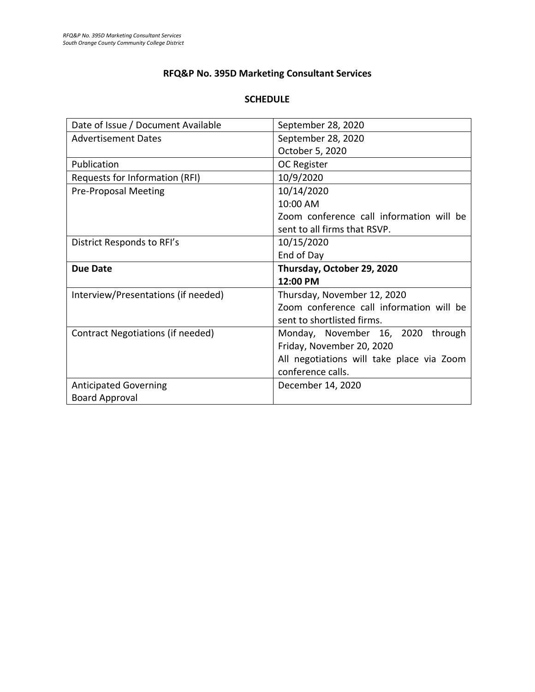# **RFQ&P No. 395D Marketing Consultant Services**

# **SCHEDULE**

| Date of Issue / Document Available  | September 28, 2020                        |
|-------------------------------------|-------------------------------------------|
| <b>Advertisement Dates</b>          | September 28, 2020                        |
|                                     | October 5, 2020                           |
| Publication                         | <b>OC Register</b>                        |
| Requests for Information (RFI)      | 10/9/2020                                 |
| <b>Pre-Proposal Meeting</b>         | 10/14/2020                                |
|                                     | 10:00 AM                                  |
|                                     | Zoom conference call information will be  |
|                                     | sent to all firms that RSVP.              |
| District Responds to RFI's          | 10/15/2020                                |
|                                     | End of Day                                |
|                                     |                                           |
| <b>Due Date</b>                     | Thursday, October 29, 2020                |
|                                     | 12:00 PM                                  |
| Interview/Presentations (if needed) | Thursday, November 12, 2020               |
|                                     | Zoom conference call information will be  |
|                                     | sent to shortlisted firms.                |
| Contract Negotiations (if needed)   | Monday, November 16, 2020<br>through      |
|                                     | Friday, November 20, 2020                 |
|                                     | All negotiations will take place via Zoom |
|                                     | conference calls.                         |
| <b>Anticipated Governing</b>        | December 14, 2020                         |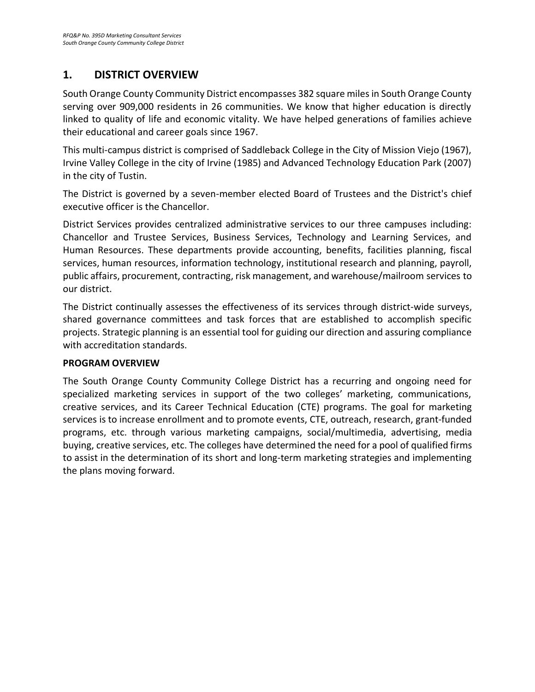# <span id="page-5-0"></span>**1. DISTRICT OVERVIEW**

South Orange County Community District encompasses 382 square miles in South Orange County serving over 909,000 residents in 26 communities. We know that higher education is directly linked to quality of life and economic vitality. We have helped generations of families achieve their educational and career goals since 1967.

This multi-campus district is comprised of Saddleback College in the City of Mission Viejo (1967), Irvine Valley College in the city of Irvine (1985) and Advanced Technology Education Park (2007) in the city of Tustin.

The District is governed by a seven-member elected Board of Trustees and the District's chief executive officer is the Chancellor.

District Services provides centralized administrative services to our three campuses including: Chancellor and Trustee Services, Business Services, Technology and Learning Services, and Human Resources. These departments provide accounting, benefits, facilities planning, fiscal services, human resources, information technology, institutional research and planning, payroll, public affairs, procurement, contracting, risk management, and warehouse/mailroom services to our district.

The District continually assesses the effectiveness of its services through district-wide surveys, shared governance committees and task forces that are established to accomplish specific projects. Strategic planning is an essential tool for guiding our direction and assuring compliance with accreditation standards.

# **PROGRAM OVERVIEW**

The South Orange County Community College District has a recurring and ongoing need for specialized marketing services in support of the two colleges' marketing, communications, creative services, and its Career Technical Education (CTE) programs. The goal for marketing services is to increase enrollment and to promote events, CTE, outreach, research, grant-funded programs, etc. through various marketing campaigns, social/multimedia, advertising, media buying, creative services, etc. The colleges have determined the need for a pool of qualified firms to assist in the determination of its short and long-term marketing strategies and implementing the plans moving forward.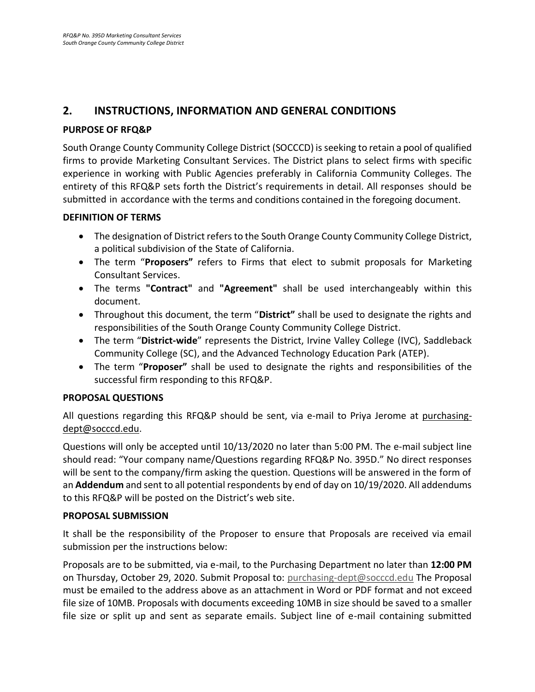# <span id="page-6-0"></span>**2. INSTRUCTIONS, INFORMATION AND GENERAL CONDITIONS**

## <span id="page-6-1"></span>**PURPOSE OF RFQ&P**

South Orange County Community College District (SOCCCD) is seeking to retain a pool of qualified firms to provide Marketing Consultant Services. The District plans to select firms with specific experience in working with Public Agencies preferably in California Community Colleges. The entirety of this RFQ&P sets forth the District's requirements in detail. All responses should be submitted in accordance with the terms and conditions contained in the foregoing document.

#### <span id="page-6-2"></span>**DEFINITION OF TERMS**

- The designation of District refers to the South Orange County Community College District, a political subdivision of the State of California.
- The term "**Proposers"** refers to Firms that elect to submit proposals for Marketing Consultant Services.
- The terms **"Contract"** and **"Agreement"** shall be used interchangeably within this document.
- Throughout this document, the term "**District"** shall be used to designate the rights and responsibilities of the South Orange County Community College District.
- The term "**District-wide**" represents the District, Irvine Valley College (IVC), Saddleback Community College (SC), and the Advanced Technology Education Park (ATEP).
- The term "**Proposer"** shall be used to designate the rights and responsibilities of the successful firm responding to this RFQ&P.

#### <span id="page-6-3"></span>**PROPOSAL QUESTIONS**

All questions regarding this RFQ&P should be sent, via e-mail to Priya Jerome at purchasingdept@socccd.edu.

Questions will only be accepted until 10/13/2020 no later than 5:00 PM. The e-mail subject line should read: "Your company name/Questions regarding RFQ&P No. 395D." No direct responses will be sent to the company/firm asking the question. Questions will be answered in the form of an **Addendum** and sent to all potential respondents by end of day on 10/19/2020. All addendums to this RFQ&P will be posted on the District's web site.

#### <span id="page-6-4"></span>**PROPOSAL SUBMISSION**

It shall be the responsibility of the Proposer to ensure that Proposals are received via email submission per the instructions below:

Proposals are to be submitted, via e-mail, to the Purchasing Department no later than **12:00 PM** on Thursday, October 29, 2020. Submit Proposal to: [purchasing-dept@socccd.edu](mailto:purchasing-dept@socccd.edu) The Proposal must be emailed to the address above as an attachment in Word or PDF format and not exceed file size of 10MB. Proposals with documents exceeding 10MB in size should be saved to a smaller file size or split up and sent as separate emails. Subject line of e-mail containing submitted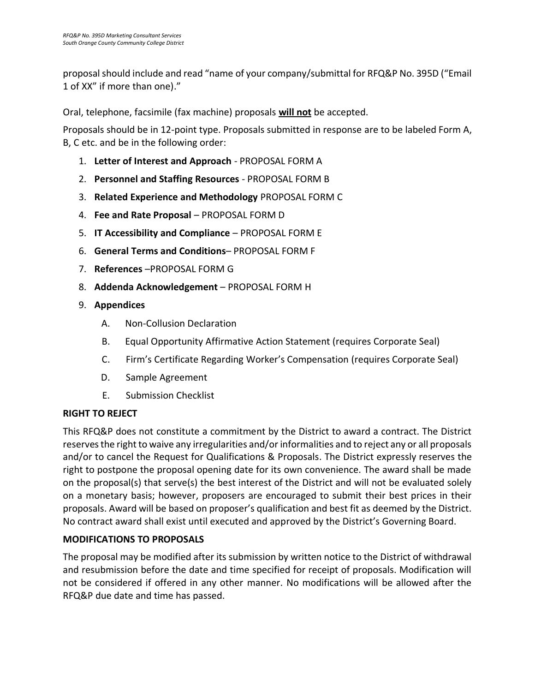proposal should include and read "name of your company/submittal for RFQ&P No. 395D ("Email 1 of XX" if more than one)."

Oral, telephone, facsimile (fax machine) proposals **will not** be accepted.

Proposals should be in 12-point type. Proposals submitted in response are to be labeled Form A, B, C etc. and be in the following order:

- 1. **Letter of Interest and Approach** PROPOSAL FORM A
- 2. **Personnel and Staffing Resources** PROPOSAL FORM B
- 3. **Related Experience and Methodology** PROPOSAL FORM C
- 4. **Fee and Rate Proposal** PROPOSAL FORM D
- 5. **IT Accessibility and Compliance** PROPOSAL FORM E
- 6. **General Terms and Conditions** PROPOSAL FORM F
- 7. **References** –PROPOSAL FORM G
- 8. **Addenda Acknowledgement** PROPOSAL FORM H
- 9. **Appendices**
	- A. Non-Collusion Declaration
	- B. Equal Opportunity Affirmative Action Statement (requires Corporate Seal)
	- C. Firm's Certificate Regarding Worker's Compensation (requires Corporate Seal)
	- D. Sample Agreement
	- E. Submission Checklist

# <span id="page-7-0"></span>**RIGHT TO REJECT**

This RFQ&P does not constitute a commitment by the District to award a contract. The District reserves the right to waive any irregularities and/or informalities and to reject any or all proposals and/or to cancel the Request for Qualifications & Proposals. The District expressly reserves the right to postpone the proposal opening date for its own convenience. The award shall be made on the proposal(s) that serve(s) the best interest of the District and will not be evaluated solely on a monetary basis; however, proposers are encouraged to submit their best prices in their proposals. Award will be based on proposer's qualification and best fit as deemed by the District. No contract award shall exist until executed and approved by the District's Governing Board.

# <span id="page-7-1"></span>**MODIFICATIONS TO PROPOSALS**

The proposal may be modified after its submission by written notice to the District of withdrawal and resubmission before the date and time specified for receipt of proposals. Modification will not be considered if offered in any other manner. No modifications will be allowed after the RFQ&P due date and time has passed.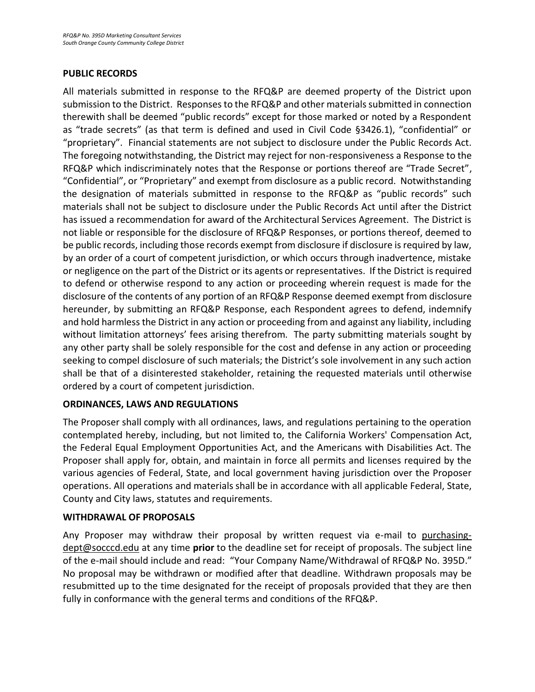## **PUBLIC RECORDS**

All materials submitted in response to the RFQ&P are deemed property of the District upon submission to the District. Responses to the RFQ&P and other materials submitted in connection therewith shall be deemed "public records" except for those marked or noted by a Respondent as "trade secrets" (as that term is defined and used in Civil Code §3426.1), "confidential" or "proprietary". Financial statements are not subject to disclosure under the Public Records Act. The foregoing notwithstanding, the District may reject for non-responsiveness a Response to the RFQ&P which indiscriminately notes that the Response or portions thereof are "Trade Secret", "Confidential", or "Proprietary" and exempt from disclosure as a public record. Notwithstanding the designation of materials submitted in response to the RFQ&P as "public records" such materials shall not be subject to disclosure under the Public Records Act until after the District has issued a recommendation for award of the Architectural Services Agreement. The District is not liable or responsible for the disclosure of RFQ&P Responses, or portions thereof, deemed to be public records, including those records exempt from disclosure if disclosure is required by law, by an order of a court of competent jurisdiction, or which occurs through inadvertence, mistake or negligence on the part of the District or its agents or representatives. If the District is required to defend or otherwise respond to any action or proceeding wherein request is made for the disclosure of the contents of any portion of an RFQ&P Response deemed exempt from disclosure hereunder, by submitting an RFQ&P Response, each Respondent agrees to defend, indemnify and hold harmless the District in any action or proceeding from and against any liability, including without limitation attorneys' fees arising therefrom. The party submitting materials sought by any other party shall be solely responsible for the cost and defense in any action or proceeding seeking to compel disclosure of such materials; the District's sole involvement in any such action shall be that of a disinterested stakeholder, retaining the requested materials until otherwise ordered by a court of competent jurisdiction.

# <span id="page-8-0"></span>**ORDINANCES, LAWS AND REGULATIONS**

The Proposer shall comply with all ordinances, laws, and regulations pertaining to the operation contemplated hereby, including, but not limited to, the California Workers' Compensation Act, the Federal Equal Employment Opportunities Act, and the Americans with Disabilities Act. The Proposer shall apply for, obtain, and maintain in force all permits and licenses required by the various agencies of Federal, State, and local government having jurisdiction over the Proposer operations. All operations and materials shall be in accordance with all applicable Federal, State, County and City laws, statutes and requirements.

#### <span id="page-8-1"></span>**WITHDRAWAL OF PROPOSALS**

<span id="page-8-2"></span>Any Proposer may withdraw their proposal by written request via e-mail to purchasingdept@socccd.edu at any time **prior** to the deadline set for receipt of proposals. The subject line of the e-mail should include and read: "Your Company Name/Withdrawal of RFQ&P No. 395D." No proposal may be withdrawn or modified after that deadline. Withdrawn proposals may be resubmitted up to the time designated for the receipt of proposals provided that they are then fully in conformance with the general terms and conditions of the RFQ&P.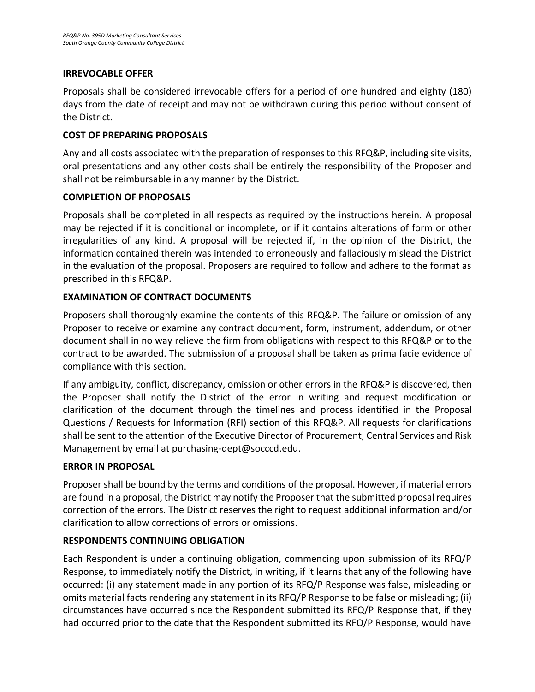## **IRREVOCABLE OFFER**

Proposals shall be considered irrevocable offers for a period of one hundred and eighty (180) days from the date of receipt and may not be withdrawn during this period without consent of the District.

## <span id="page-9-0"></span>**COST OF PREPARING PROPOSALS**

Any and all costs associated with the preparation of responses to this RFQ&P, including site visits, oral presentations and any other costs shall be entirely the responsibility of the Proposer and shall not be reimbursable in any manner by the District.

# **COMPLETION OF PROPOSALS**

Proposals shall be completed in all respects as required by the instructions herein. A proposal may be rejected if it is conditional or incomplete, or if it contains alterations of form or other irregularities of any kind. A proposal will be rejected if, in the opinion of the District, the information contained therein was intended to erroneously and fallaciously mislead the District in the evaluation of the proposal. Proposers are required to follow and adhere to the format as prescribed in this RFQ&P.

# **EXAMINATION OF CONTRACT DOCUMENTS**

Proposers shall thoroughly examine the contents of this RFQ&P. The failure or omission of any Proposer to receive or examine any contract document, form, instrument, addendum, or other document shall in no way relieve the firm from obligations with respect to this RFQ&P or to the contract to be awarded. The submission of a proposal shall be taken as prima facie evidence of compliance with this section.

If any ambiguity, conflict, discrepancy, omission or other errors in the RFQ&P is discovered, then the Proposer shall notify the District of the error in writing and request modification or clarification of the document through the timelines and process identified in the Proposal Questions / Requests for Information (RFI) section of this RFQ&P. All requests for clarifications shall be sent to the attention of the Executive Director of Procurement, Central Services and Risk Management by email a[t purchasing-dept@socccd.edu.](mailto:purchasing-dept@socccd.edu)

# **ERROR IN PROPOSAL**

Proposer shall be bound by the terms and conditions of the proposal. However, if material errors are found in a proposal, the District may notify the Proposer that the submitted proposal requires correction of the errors. The District reserves the right to request additional information and/or clarification to allow corrections of errors or omissions.

# **RESPONDENTS CONTINUING OBLIGATION**

Each Respondent is under a continuing obligation, commencing upon submission of its RFQ/P Response, to immediately notify the District, in writing, if it learns that any of the following have occurred: (i) any statement made in any portion of its RFQ/P Response was false, misleading or omits material facts rendering any statement in its RFQ/P Response to be false or misleading; (ii) circumstances have occurred since the Respondent submitted its RFQ/P Response that, if they had occurred prior to the date that the Respondent submitted its RFQ/P Response, would have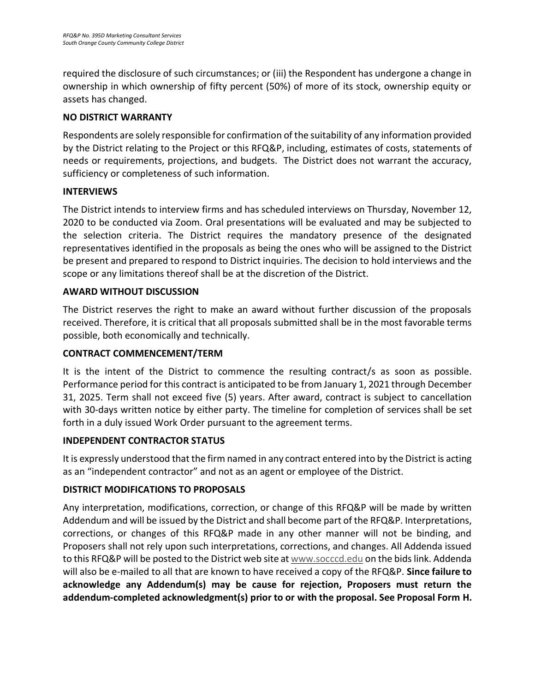required the disclosure of such circumstances; or (iii) the Respondent has undergone a change in ownership in which ownership of fifty percent (50%) of more of its stock, ownership equity or assets has changed.

# **NO DISTRICT WARRANTY**

Respondents are solely responsible for confirmation of the suitability of any information provided by the District relating to the Project or this RFQ&P, including, estimates of costs, statements of needs or requirements, projections, and budgets. The District does not warrant the accuracy, sufficiency or completeness of such information.

# <span id="page-10-0"></span>**INTERVIEWS**

The District intends to interview firms and has scheduled interviews on Thursday, November 12, 2020 to be conducted via Zoom. Oral presentations will be evaluated and may be subjected to the selection criteria. The District requires the mandatory presence of the designated representatives identified in the proposals as being the ones who will be assigned to the District be present and prepared to respond to District inquiries. The decision to hold interviews and the scope or any limitations thereof shall be at the discretion of the District.

## <span id="page-10-1"></span>**AWARD WITHOUT DISCUSSION**

The District reserves the right to make an award without further discussion of the proposals received. Therefore, it is critical that all proposals submitted shall be in the most favorable terms possible, both economically and technically.

# <span id="page-10-2"></span>**CONTRACT COMMENCEMENT/TERM**

It is the intent of the District to commence the resulting contract/s as soon as possible. Performance period for this contract is anticipated to be from January 1, 2021 through December 31, 2025. Term shall not exceed five (5) years. After award, contract is subject to cancellation with 30-days written notice by either party. The timeline for completion of services shall be set forth in a duly issued Work Order pursuant to the agreement terms.

#### **INDEPENDENT CONTRACTOR STATUS**

It is expressly understood that the firm named in any contract entered into by the District is acting as an "independent contractor" and not as an agent or employee of the District.

# <span id="page-10-3"></span>**DISTRICT MODIFICATIONS TO PROPOSALS**

<span id="page-10-4"></span>Any interpretation, modifications, correction, or change of this RFQ&P will be made by written Addendum and will be issued by the District and shall become part of the RFQ&P. Interpretations, corrections, or changes of this RFQ&P made in any other manner will not be binding, and Proposers shall not rely upon such interpretations, corrections, and changes. All Addenda issued to this RFQ&P will be posted to the District web site at [www.socccd.edu](http://www.socccd.edu/) on the bids link. Addenda will also be e-mailed to all that are known to have received a copy of the RFQ&P. **Since failure to acknowledge any Addendum(s) may be cause for rejection, Proposers must return the addendum-completed acknowledgment(s) prior to or with the proposal. See Proposal Form H.**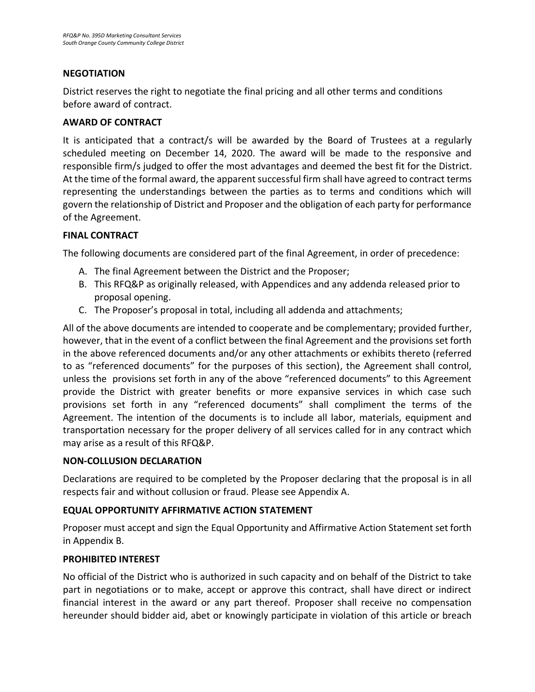## **NEGOTIATION**

<span id="page-11-0"></span>District reserves the right to negotiate the final pricing and all other terms and conditions before award of contract.

## **AWARD OF CONTRACT**

It is anticipated that a contract/s will be awarded by the Board of Trustees at a regularly scheduled meeting on December 14, 2020. The award will be made to the responsive and responsible firm/s judged to offer the most advantages and deemed the best fit for the District. At the time of the formal award, the apparent successful firm shall have agreed to contract terms representing the understandings between the parties as to terms and conditions which will govern the relationship of District and Proposer and the obligation of each party for performance of the Agreement.

## <span id="page-11-1"></span>**FINAL CONTRACT**

The following documents are considered part of the final Agreement, in order of precedence:

- A. The final Agreement between the District and the Proposer;
- B. This RFQ&P as originally released, with Appendices and any addenda released prior to proposal opening.
- C. The Proposer's proposal in total, including all addenda and attachments;

All of the above documents are intended to cooperate and be complementary; provided further, however, that in the event of a conflict between the final Agreement and the provisions set forth in the above referenced documents and/or any other attachments or exhibits thereto (referred to as "referenced documents" for the purposes of this section), the Agreement shall control, unless the provisions set forth in any of the above "referenced documents" to this Agreement provide the District with greater benefits or more expansive services in which case such provisions set forth in any "referenced documents" shall compliment the terms of the Agreement. The intention of the documents is to include all labor, materials, equipment and transportation necessary for the proper delivery of all services called for in any contract which may arise as a result of this RFQ&P.

# **NON-COLLUSION DECLARATION**

Declarations are required to be completed by the Proposer declaring that the proposal is in all respects fair and without collusion or fraud. Please see Appendix A.

# <span id="page-11-2"></span>**EQUAL OPPORTUNITY AFFIRMATIVE ACTION STATEMENT**

Proposer must accept and sign the Equal Opportunity and Affirmative Action Statement set forth in Appendix B.

#### <span id="page-11-3"></span>**PROHIBITED INTEREST**

No official of the District who is authorized in such capacity and on behalf of the District to take part in negotiations or to make, accept or approve this contract, shall have direct or indirect financial interest in the award or any part thereof. Proposer shall receive no compensation hereunder should bidder aid, abet or knowingly participate in violation of this article or breach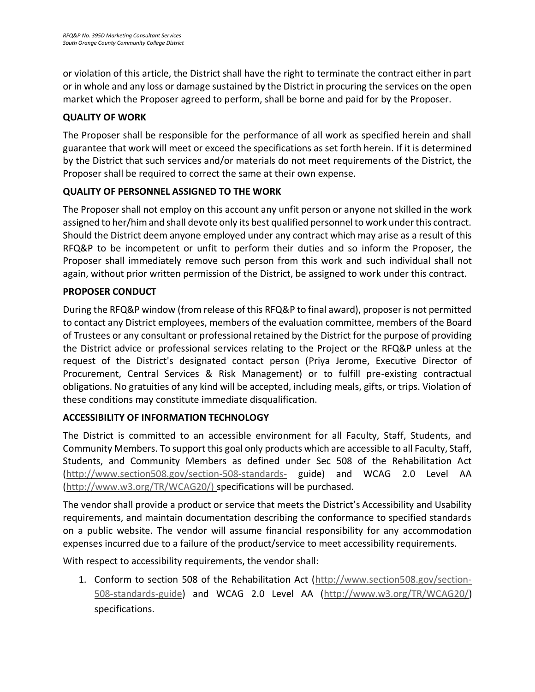or violation of this article, the District shall have the right to terminate the contract either in part or in whole and any loss or damage sustained by the District in procuring the services on the open market which the Proposer agreed to perform, shall be borne and paid for by the Proposer.

# <span id="page-12-0"></span>**QUALITY OF WORK**

The Proposer shall be responsible for the performance of all work as specified herein and shall guarantee that work will meet or exceed the specifications as set forth herein. If it is determined by the District that such services and/or materials do not meet requirements of the District, the Proposer shall be required to correct the same at their own expense.

# <span id="page-12-1"></span>**QUALITY OF PERSONNEL ASSIGNED TO THE WORK**

<span id="page-12-2"></span>The Proposer shall not employ on this account any unfit person or anyone not skilled in the work assigned to her/him and shall devote only its best qualified personnel to work under this contract. Should the District deem anyone employed under any contract which may arise as a result of this RFQ&P to be incompetent or unfit to perform their duties and so inform the Proposer, the Proposer shall immediately remove such person from this work and such individual shall not again, without prior written permission of the District, be assigned to work under this contract.

# **PROPOSER CONDUCT**

<span id="page-12-3"></span>During the RFQ&P window (from release of this RFQ&P to final award), proposer is not permitted to contact any District employees, members of the evaluation committee, members of the Board of Trustees or any consultant or professional retained by the District for the purpose of providing the District advice or professional services relating to the Project or the RFQ&P unless at the request of the District's designated contact person (Priya Jerome, Executive Director of Procurement, Central Services & Risk Management) or to fulfill pre-existing contractual obligations. No gratuities of any kind will be accepted, including meals, gifts, or trips. Violation of these conditions may constitute immediate disqualification.

# **ACCESSIBILITY OF INFORMATION TECHNOLOGY**

The District is committed to an accessible environment for all Faculty, Staff, Students, and Community Members. To support this goal only products which are accessible to all Faculty, Staff, Students, and Community Members as defined under Sec 508 of the Rehabilitation Act [\(http://www.section508.gov/section-508-standards-](http://www.section508.gov/section-508-standards-) guide) and WCAG 2.0 Level AA [\(http://www.w3.org/TR/WCAG20/\) s](http://www.w3.org/TR/WCAG20/))pecifications will be purchased.

The vendor shall provide a product or service that meets the District's Accessibility and Usability requirements, and maintain documentation describing the conformance to specified standards on a public website. The vendor will assume financial responsibility for any accommodation expenses incurred due to a failure of the product/service to meet accessibility requirements.

With respect to accessibility requirements, the vendor shall:

1. Conform to section 508 of the Rehabilitation Act [\(http://www.section508.gov/section-](http://www.section508.gov/section-508-standards-guide)[508-standards-guide\)](http://www.section508.gov/section-508-standards-guide) and WCAG 2.0 Level AA [\(http://www.w3.org/TR/WCAG20/\)](http://www.w3.org/TR/WCAG20/) specifications.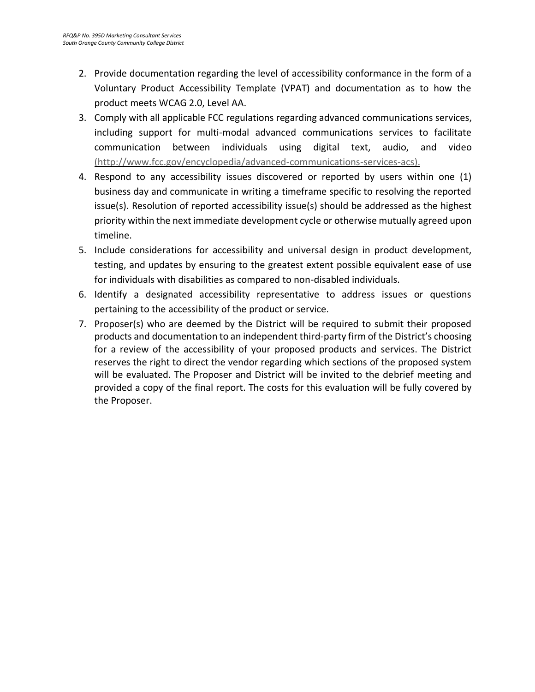- 2. Provide documentation regarding the level of accessibility conformance in the form of a Voluntary Product Accessibility Template (VPAT) and documentation as to how the product meets WCAG 2.0, Level AA.
- 3. Comply with all applicable FCC regulations regarding advanced communications services, including support for multi-modal advanced communications services to facilitate communication between individuals using digital text, audio, and video [\(http://www.fcc.gov/encyclopedia/advanced-communications-services-acs\).](http://www.fcc.gov/encyclopedia/advanced-communications-services-acs))
- 4. Respond to any accessibility issues discovered or reported by users within one (1) business day and communicate in writing a timeframe specific to resolving the reported issue(s). Resolution of reported accessibility issue(s) should be addressed as the highest priority within the next immediate development cycle or otherwise mutually agreed upon timeline.
- 5. Include considerations for accessibility and universal design in product development, testing, and updates by ensuring to the greatest extent possible equivalent ease of use for individuals with disabilities as compared to non-disabled individuals.
- 6. Identify a designated accessibility representative to address issues or questions pertaining to the accessibility of the product or service.
- 7. Proposer(s) who are deemed by the District will be required to submit their proposed products and documentation to an independent third-party firm of the District's choosing for a review of the accessibility of your proposed products and services. The District reserves the right to direct the vendor regarding which sections of the proposed system will be evaluated. The Proposer and District will be invited to the debrief meeting and provided a copy of the final report. The costs for this evaluation will be fully covered by the Proposer.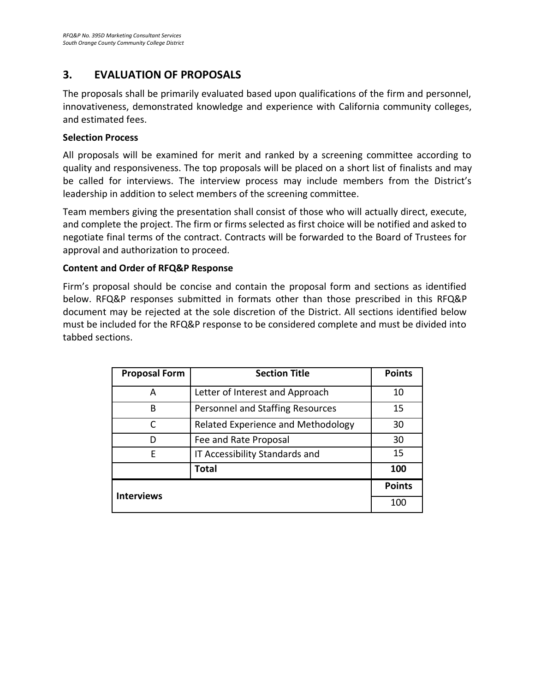# **3. EVALUATION OF PROPOSALS**

The proposals shall be primarily evaluated based upon qualifications of the firm and personnel, innovativeness, demonstrated knowledge and experience with California community colleges, and estimated fees.

#### **Selection Process**

All proposals will be examined for merit and ranked by a screening committee according to quality and responsiveness. The top proposals will be placed on a short list of finalists and may be called for interviews. The interview process may include members from the District's leadership in addition to select members of the screening committee.

Team members giving the presentation shall consist of those who will actually direct, execute, and complete the project. The firm or firms selected as first choice will be notified and asked to negotiate final terms of the contract. Contracts will be forwarded to the Board of Trustees for approval and authorization to proceed.

#### **Content and Order of RFQ&P Response**

Firm's proposal should be concise and contain the proposal form and sections as identified below. RFQ&P responses submitted in formats other than those prescribed in this RFQ&P document may be rejected at the sole discretion of the District. All sections identified below must be included for the RFQ&P response to be considered complete and must be divided into tabbed sections.

| <b>Proposal Form</b> | <b>Section Title</b>               | <b>Points</b> |
|----------------------|------------------------------------|---------------|
| A                    | Letter of Interest and Approach    | 10            |
| B                    | Personnel and Staffing Resources   | 15            |
|                      | Related Experience and Methodology | 30            |
|                      | Fee and Rate Proposal              | 30            |
| E                    | IT Accessibility Standards and     | 15            |
|                      | <b>Total</b>                       | 100           |
| <b>Interviews</b>    |                                    | <b>Points</b> |
|                      |                                    | 100           |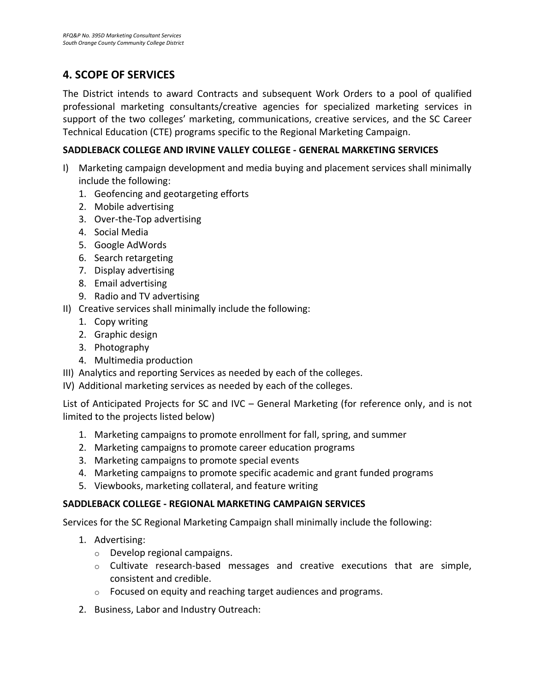# <span id="page-15-0"></span>**4. SCOPE OF SERVICES**

The District intends to award Contracts and subsequent Work Orders to a pool of qualified professional marketing consultants/creative agencies for specialized marketing services in support of the two colleges' marketing, communications, creative services, and the SC Career Technical Education (CTE) programs specific to the Regional Marketing Campaign.

## **SADDLEBACK COLLEGE AND IRVINE VALLEY COLLEGE - GENERAL MARKETING SERVICES**

- I) Marketing campaign development and media buying and placement services shall minimally include the following:
	- 1. Geofencing and geotargeting efforts
	- 2. Mobile advertising
	- 3. Over-the-Top advertising
	- 4. Social Media
	- 5. Google AdWords
	- 6. Search retargeting
	- 7. Display advertising
	- 8. Email advertising
	- 9. Radio and TV advertising
- II) Creative services shall minimally include the following:
	- 1. Copy writing
	- 2. Graphic design
	- 3. Photography
	- 4. Multimedia production
- III) Analytics and reporting Services as needed by each of the colleges.
- IV) Additional marketing services as needed by each of the colleges.

List of Anticipated Projects for SC and IVC – General Marketing (for reference only, and is not limited to the projects listed below)

- 1. Marketing campaigns to promote enrollment for fall, spring, and summer
- 2. Marketing campaigns to promote career education programs
- 3. Marketing campaigns to promote special events
- 4. Marketing campaigns to promote specific academic and grant funded programs
- 5. Viewbooks, marketing collateral, and feature writing

# **SADDLEBACK COLLEGE - REGIONAL MARKETING CAMPAIGN SERVICES**

Services for the SC Regional Marketing Campaign shall minimally include the following:

- 1. Advertising:
	- o Develop regional campaigns.
	- $\circ$  Cultivate research-based messages and creative executions that are simple, consistent and credible.
	- o Focused on equity and reaching target audiences and programs.
- 2. Business, Labor and Industry Outreach: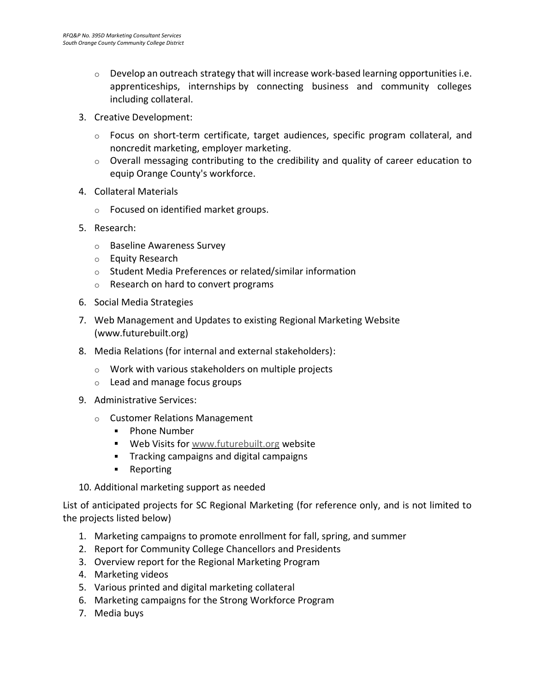- $\circ$  Develop an outreach strategy that will increase work-based learning opportunities i.e. apprenticeships, internships by connecting business and community colleges including collateral.
- 3. Creative Development:
	- $\circ$  Focus on short-term certificate, target audiences, specific program collateral, and noncredit marketing, employer marketing.
	- $\circ$  Overall messaging contributing to the credibility and quality of career education to equip Orange County's workforce.
- 4. Collateral Materials
	- o Focused on identified market groups.
- 5. Research:
	- o Baseline Awareness Survey
	- o Equity Research
	- o Student Media Preferences or related/similar information
	- o Research on hard to convert programs
- 6. Social Media Strategies
- 7. Web Management and Updates to existing Regional Marketing Website (www.futurebuilt.org)
- 8. Media Relations (for internal and external stakeholders):
	- o Work with various stakeholders on multiple projects
	- o Lead and manage focus groups
- 9. Administrative Services:
	- o Customer Relations Management
		- **•** Phone Number
		- **Web Visits fo[r www.futurebuilt.org](http://www.futurebuilt.org/) website**
		- **Tracking campaigns and digital campaigns**
		- **Reporting**
- 10. Additional marketing support as needed

List of anticipated projects for SC Regional Marketing (for reference only, and is not limited to the projects listed below)

- 1. Marketing campaigns to promote enrollment for fall, spring, and summer
- 2. Report for Community College Chancellors and Presidents
- 3. Overview report for the Regional Marketing Program
- 4. Marketing videos
- 5. Various printed and digital marketing collateral
- 6. Marketing campaigns for the Strong Workforce Program
- 7. Media buys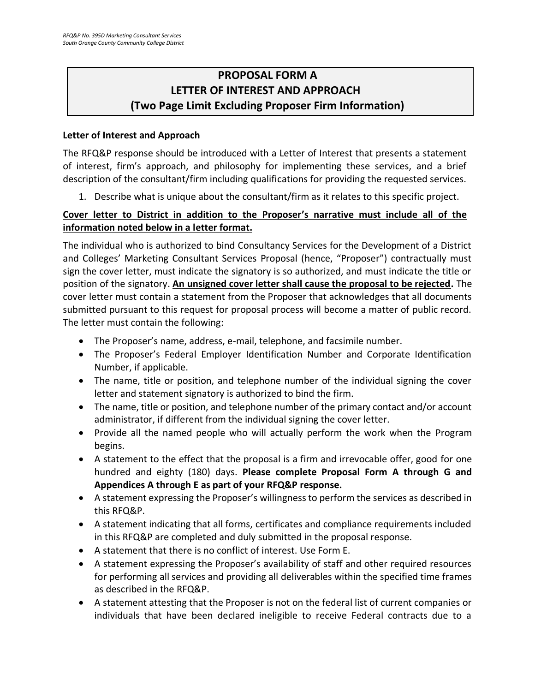# <span id="page-17-0"></span>**PROPOSAL FORM A LETTER OF INTEREST AND APPROACH (Two Page Limit Excluding Proposer Firm Information)**

# **Letter of Interest and Approach**

The RFQ&P response should be introduced with a Letter of Interest that presents a statement of interest, firm's approach, and philosophy for implementing these services, and a brief description of the consultant/firm including qualifications for providing the requested services.

1. Describe what is unique about the consultant/firm as it relates to this specific project.

# **Cover letter to District in addition to the Proposer's narrative must include all of the information noted below in a letter format.**

The individual who is authorized to bind Consultancy Services for the Development of a District and Colleges' Marketing Consultant Services Proposal (hence, "Proposer") contractually must sign the cover letter, must indicate the signatory is so authorized, and must indicate the title or position of the signatory. **An unsigned cover letter shall cause the proposal to be rejected.** The cover letter must contain a statement from the Proposer that acknowledges that all documents submitted pursuant to this request for proposal process will become a matter of public record. The letter must contain the following:

- The Proposer's name, address, e-mail, telephone, and facsimile number.
- The Proposer's Federal Employer Identification Number and Corporate Identification Number, if applicable.
- The name, title or position, and telephone number of the individual signing the cover letter and statement signatory is authorized to bind the firm.
- The name, title or position, and telephone number of the primary contact and/or account administrator, if different from the individual signing the cover letter.
- Provide all the named people who will actually perform the work when the Program begins.
- A statement to the effect that the proposal is a firm and irrevocable offer, good for one hundred and eighty (180) days. **Please complete Proposal Form A through G and Appendices A through E as part of your RFQ&P response.**
- A statement expressing the Proposer's willingness to perform the services as described in this RFQ&P.
- A statement indicating that all forms, certificates and compliance requirements included in this RFQ&P are completed and duly submitted in the proposal response.
- A statement that there is no conflict of interest. Use Form E.
- A statement expressing the Proposer's availability of staff and other required resources for performing all services and providing all deliverables within the specified time frames as described in the RFQ&P.
- A statement attesting that the Proposer is not on the federal list of current companies or individuals that have been declared ineligible to receive Federal contracts due to a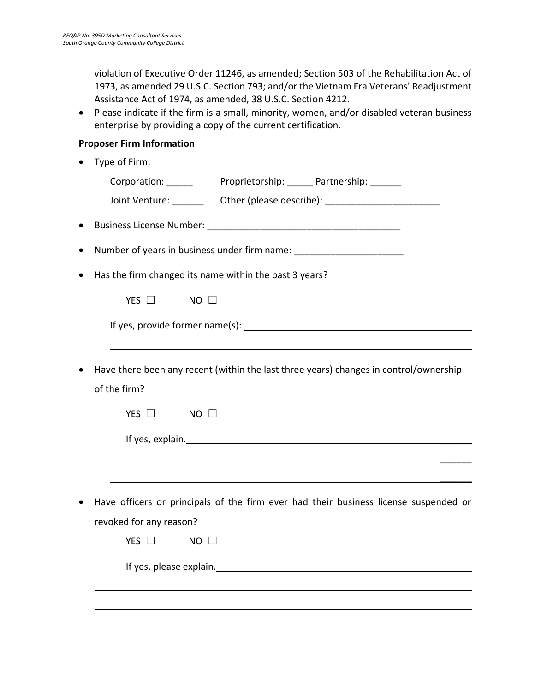violation of Executive Order 11246, as amended; Section 503 of the Rehabilitation Act of 1973, as amended 29 U.S.C. Section 793; and/or the Vietnam Era Veterans' Readjustment Assistance Act of 1974, as amended, 38 U.S.C. Section 4212.

• Please indicate if the firm is a small, minority, women, and/or disabled veteran business enterprise by providing a copy of the current certification.

## **Proposer Firm Information**

• Type of Firm: Corporation: Proprietorship: Partnership: Joint Venture:  $\qquad \qquad$  Other (please describe):  $\qquad \qquad$ • Business License Number: **Example 19** • Number of years in business under firm name: • Has the firm changed its name within the past 3 years?  $YFS \Box$  NO  $\Box$ If yes, provide former name(s): • Have there been any recent (within the last three years) changes in control/ownership of the firm? YES □ NO □ If yes, explain.  $\mathcal{L}$  $\overline{\phantom{a}}$ • Have officers or principals of the firm ever had their business license suspended or revoked for any reason? YES □ NO □ If yes, please explain.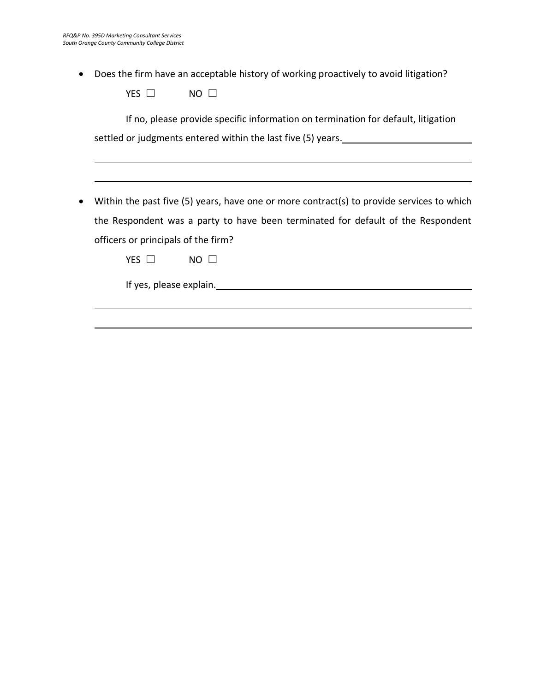• Does the firm have an acceptable history of working proactively to avoid litigation?

| VEC<br><b>F5</b> | NΩ |  |
|------------------|----|--|
|                  |    |  |

If no, please provide specific information on termination for default, litigation settled or judgments entered within the last five (5) years.

• Within the past five (5) years, have one or more contract(s) to provide services to which the Respondent was a party to have been terminated for default of the Respondent officers or principals of the firm?

YES □ NO □

If yes, please explain.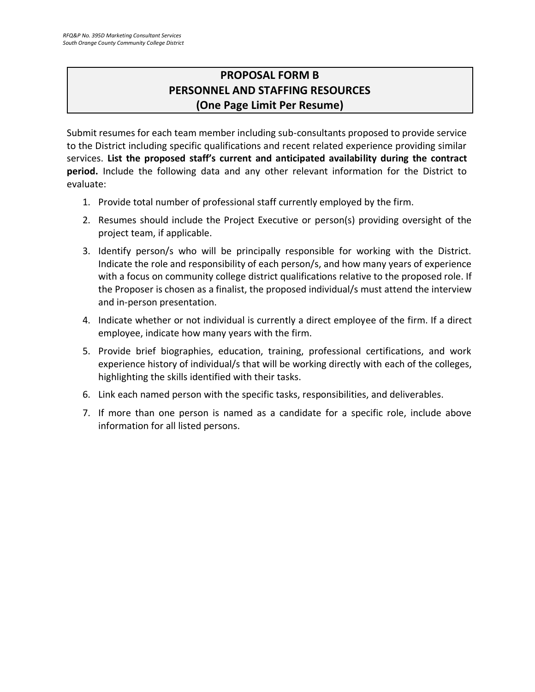# **PROPOSAL FORM B PERSONNEL AND STAFFING RESOURCES (One Page Limit Per Resume)**

<span id="page-20-0"></span>Submit resumes for each team member including sub-consultants proposed to provide service to the District including specific qualifications and recent related experience providing similar services. **List the proposed staff's current and anticipated availability during the contract period.** Include the following data and any other relevant information for the District to evaluate:

- 1. Provide total number of professional staff currently employed by the firm.
- 2. Resumes should include the Project Executive or person(s) providing oversight of the project team, if applicable.
- 3. Identify person/s who will be principally responsible for working with the District. Indicate the role and responsibility of each person/s, and how many years of experience with a focus on community college district qualifications relative to the proposed role. If the Proposer is chosen as a finalist, the proposed individual/s must attend the interview and in-person presentation.
- 4. Indicate whether or not individual is currently a direct employee of the firm. If a direct employee, indicate how many years with the firm.
- 5. Provide brief biographies, education, training, professional certifications, and work experience history of individual/s that will be working directly with each of the colleges, highlighting the skills identified with their tasks.
- 6. Link each named person with the specific tasks, responsibilities, and deliverables.
- 7. If more than one person is named as a candidate for a specific role, include above information for all listed persons.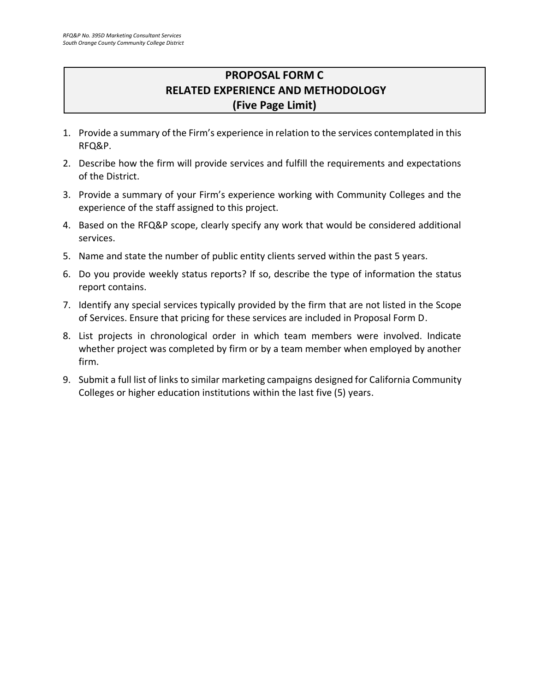# **PROPOSAL FORM C RELATED EXPERIENCE AND METHODOLOGY (Five Page Limit)**

- <span id="page-21-0"></span>1. Provide a summary of the Firm's experience in relation to the services contemplated in this RFQ&P.
- 2. Describe how the firm will provide services and fulfill the requirements and expectations of the District.
- 3. Provide a summary of your Firm's experience working with Community Colleges and the experience of the staff assigned to this project.
- 4. Based on the RFQ&P scope, clearly specify any work that would be considered additional services.
- 5. Name and state the number of public entity clients served within the past 5 years.
- 6. Do you provide weekly status reports? If so, describe the type of information the status report contains.
- 7. Identify any special services typically provided by the firm that are not listed in the Scope of Services. Ensure that pricing for these services are included in Proposal Form D.
- 8. List projects in chronological order in which team members were involved. Indicate whether project was completed by firm or by a team member when employed by another firm.
- 9. Submit a full list of links to similar marketing campaigns designed for California Community Colleges or higher education institutions within the last five (5) years.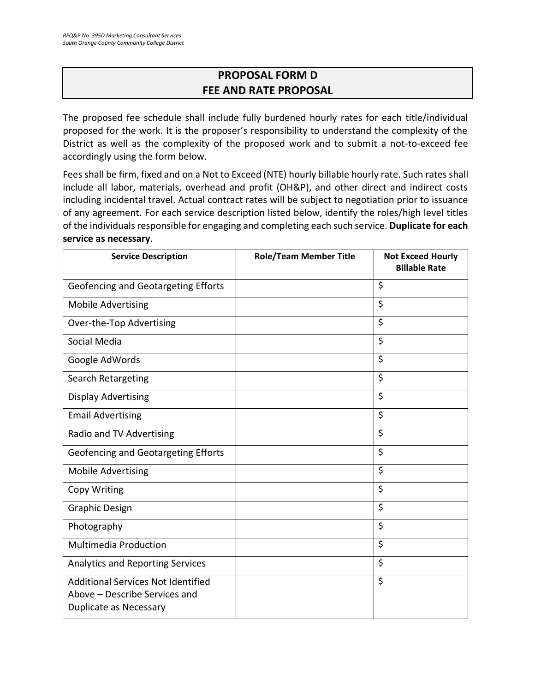# **PROPOSAL FORM D FEE AND RATE PROPOSAL**

<span id="page-22-0"></span>The proposed fee schedule shall include fully burdened hourly rates for each title/individual proposed for the work. It is the proposer's responsibility to understand the complexity of the District as well as the complexity of the proposed work and to submit a not-to-exceed fee accordingly using the form below.

Fees shall be firm, fixed and on a Not to Exceed (NTE) hourly billable hourly rate. Such rates shall include all labor, materials, overhead and profit (OH&P), and other direct and indirect costs including incidental travel. Actual contract rates will be subject to negotiation prior to issuance of any agreement. For each service description listed below, identify the roles/high level titles of the individuals responsible for engaging and completing each such service. **Duplicate for each service as necessary**.

| <b>Service Description</b>                                                                                  | <b>Role/Team Member Title</b> | <b>Not Exceed Hourly</b><br><b>Billable Rate</b> |
|-------------------------------------------------------------------------------------------------------------|-------------------------------|--------------------------------------------------|
| Geofencing and Geotargeting Efforts                                                                         |                               | \$                                               |
| <b>Mobile Advertising</b>                                                                                   |                               | \$                                               |
| Over-the-Top Advertising                                                                                    |                               | \$                                               |
| Social Media                                                                                                |                               | \$                                               |
| Google AdWords                                                                                              |                               | \$                                               |
| Search Retargeting                                                                                          |                               | \$                                               |
| <b>Display Advertising</b>                                                                                  |                               | \$                                               |
| <b>Email Advertising</b>                                                                                    |                               | \$                                               |
| Radio and TV Advertising                                                                                    |                               | \$                                               |
| Geofencing and Geotargeting Efforts                                                                         |                               | \$                                               |
| <b>Mobile Advertising</b>                                                                                   |                               | \$                                               |
| Copy Writing                                                                                                |                               | \$                                               |
| <b>Graphic Design</b>                                                                                       |                               | \$                                               |
| Photography                                                                                                 |                               | \$                                               |
| <b>Multimedia Production</b>                                                                                |                               | \$                                               |
| <b>Analytics and Reporting Services</b>                                                                     |                               | \$                                               |
| <b>Additional Services Not Identified</b><br>Above - Describe Services and<br><b>Duplicate as Necessary</b> |                               | \$                                               |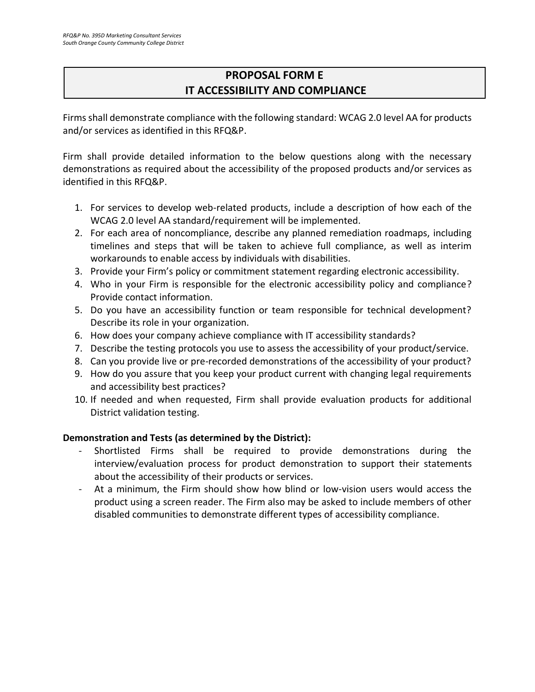# **PROPOSAL FORM E IT ACCESSIBILITY AND COMPLIANCE**

Firms shall demonstrate compliance with the following standard: WCAG 2.0 level AA for products and/or services as identified in this RFQ&P.

Firm shall provide detailed information to the below questions along with the necessary demonstrations as required about the accessibility of the proposed products and/or services as identified in this RFQ&P.

- 1. For services to develop web-related products, include a description of how each of the WCAG 2.0 level AA standard/requirement will be implemented.
- 2. For each area of noncompliance, describe any planned remediation roadmaps, including timelines and steps that will be taken to achieve full compliance, as well as interim workarounds to enable access by individuals with disabilities.
- 3. Provide your Firm's policy or commitment statement regarding electronic accessibility.
- 4. Who in your Firm is responsible for the electronic accessibility policy and compliance? Provide contact information.
- 5. Do you have an accessibility function or team responsible for technical development? Describe its role in your organization.
- 6. How does your company achieve compliance with IT accessibility standards?
- 7. Describe the testing protocols you use to assess the accessibility of your product/service.
- 8. Can you provide live or pre-recorded demonstrations of the accessibility of your product?
- 9. How do you assure that you keep your product current with changing legal requirements and accessibility best practices?
- 10. If needed and when requested, Firm shall provide evaluation products for additional District validation testing.

#### **Demonstration and Tests (as determined by the District):**

- Shortlisted Firms shall be required to provide demonstrations during the interview/evaluation process for product demonstration to support their statements about the accessibility of their products or services.
- At a minimum, the Firm should show how blind or low-vision users would access the product using a screen reader. The Firm also may be asked to include members of other disabled communities to demonstrate different types of accessibility compliance.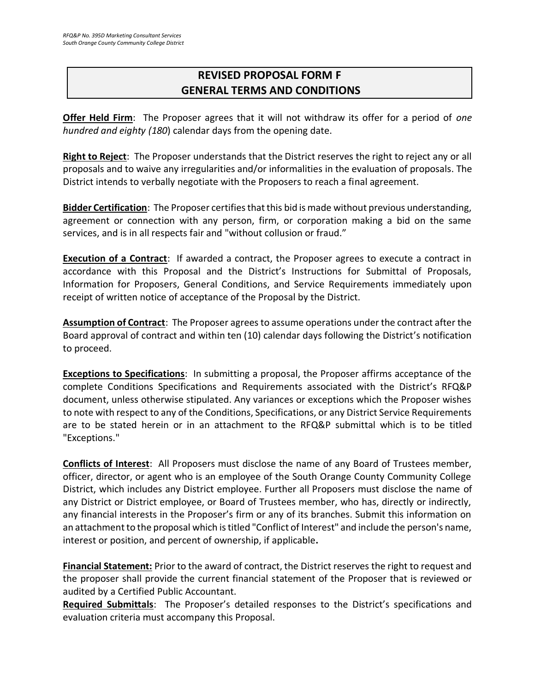# <span id="page-24-0"></span>**REVISED PROPOSAL FORM F GENERAL TERMS AND CONDITIONS**

**Offer Held Firm**: The Proposer agrees that it will not withdraw its offer for a period of *one hundred and eighty (180*) calendar days from the opening date.

**Right to Reject**: The Proposer understands that the District reserves the right to reject any or all proposals and to waive any irregularities and/or informalities in the evaluation of proposals. The District intends to verbally negotiate with the Proposers to reach a final agreement.

**Bidder Certification**: The Proposer certifies that this bid is made without previous understanding, agreement or connection with any person, firm, or corporation making a bid on the same services, and is in all respects fair and "without collusion or fraud."

**Execution of a Contract**: If awarded a contract, the Proposer agrees to execute a contract in accordance with this Proposal and the District's Instructions for Submittal of Proposals, Information for Proposers, General Conditions, and Service Requirements immediately upon receipt of written notice of acceptance of the Proposal by the District.

**Assumption of Contract**: The Proposer agrees to assume operations under the contract after the Board approval of contract and within ten (10) calendar days following the District's notification to proceed.

**Exceptions to Specifications**: In submitting a proposal, the Proposer affirms acceptance of the complete Conditions Specifications and Requirements associated with the District's RFQ&P document, unless otherwise stipulated. Any variances or exceptions which the Proposer wishes to note with respect to any of the Conditions, Specifications, or any District Service Requirements are to be stated herein or in an attachment to the RFQ&P submittal which is to be titled "Exceptions."

**Conflicts of Interest**: All Proposers must disclose the name of any Board of Trustees member, officer, director, or agent who is an employee of the South Orange County Community College District, which includes any District employee. Further all Proposers must disclose the name of any District or District employee, or Board of Trustees member, who has, directly or indirectly, any financial interests in the Proposer's firm or any of its branches. Submit this information on an attachment to the proposal which is titled "Conflict of Interest" and include the person's name, interest or position, and percent of ownership, if applicable**.**

**Financial Statement:** Prior to the award of contract, the District reserves the right to request and the proposer shall provide the current financial statement of the Proposer that is reviewed or audited by a Certified Public Accountant.

**Required Submittals**: The Proposer's detailed responses to the District's specifications and evaluation criteria must accompany this Proposal.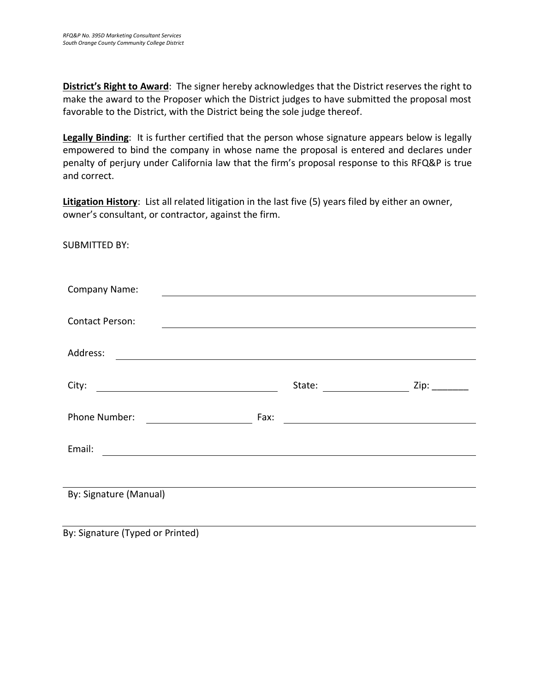**District's Right to Award**: The signer hereby acknowledges that the District reserves the right to make the award to the Proposer which the District judges to have submitted the proposal most favorable to the District, with the District being the sole judge thereof.

**Legally Binding**: It is further certified that the person whose signature appears below is legally empowered to bind the company in whose name the proposal is entered and declares under penalty of perjury under California law that the firm's proposal response to this RFQ&P is true and correct.

**Litigation History**: List all related litigation in the last five (5) years filed by either an owner, owner's consultant, or contractor, against the firm.

SUBMITTED BY:

| <b>Company Name:</b>                                                                                                               |      |                                                                                                                       |           |
|------------------------------------------------------------------------------------------------------------------------------------|------|-----------------------------------------------------------------------------------------------------------------------|-----------|
|                                                                                                                                    |      |                                                                                                                       |           |
| <b>Contact Person:</b>                                                                                                             |      | <u>and the state of the state of the state of the state of the state of the state of the state of the state of th</u> |           |
|                                                                                                                                    |      |                                                                                                                       |           |
| Address:<br><u> 1989 - Johann Stoff, deutscher Stoffen und der Stoffen und der Stoffen und der Stoffen und der Stoffen und der</u> |      |                                                                                                                       |           |
|                                                                                                                                    |      |                                                                                                                       |           |
| City:                                                                                                                              |      | State:                                                                                                                | $Zip:$ __ |
|                                                                                                                                    |      |                                                                                                                       |           |
| Phone Number:                                                                                                                      | Fax: | <u> 1989 - Andrea Station Barbara, amerikan per</u>                                                                   |           |
|                                                                                                                                    |      |                                                                                                                       |           |
| Email:<br><u> 1989 - Johann Barnett, fransk politiker (d. 1989)</u>                                                                |      |                                                                                                                       |           |
|                                                                                                                                    |      |                                                                                                                       |           |
|                                                                                                                                    |      |                                                                                                                       |           |
| By: Signature (Manual)                                                                                                             |      |                                                                                                                       |           |
|                                                                                                                                    |      |                                                                                                                       |           |
|                                                                                                                                    |      |                                                                                                                       |           |

By: Signature (Typed or Printed)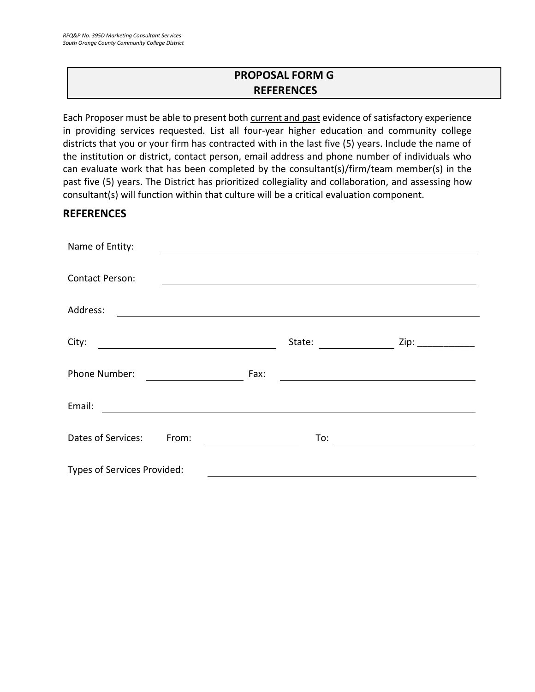# **PROPOSAL FORM G REFERENCES**

<span id="page-26-0"></span>Each Proposer must be able to present both current and past evidence of satisfactory experience in providing services requested. List all four-year higher education and community college districts that you or your firm has contracted with in the last five (5) years. Include the name of the institution or district, contact person, email address and phone number of individuals who can evaluate work that has been completed by the consultant(s)/firm/team member(s) in the past five (5) years. The District has prioritized collegiality and collaboration, and assessing how consultant(s) will function within that culture will be a critical evaluation component.

# **REFERENCES**

| Name of Entity:                                                                                                                  |        |                      |
|----------------------------------------------------------------------------------------------------------------------------------|--------|----------------------|
|                                                                                                                                  |        |                      |
| <b>Contact Person:</b>                                                                                                           |        |                      |
| Address:<br><u> 1989 - Andrea State Barbara, amerikan personal di sebagai personal di sebagai personal di sebagai personal d</u> |        |                      |
| City:                                                                                                                            | State: | Zip: $\qquad \qquad$ |
| <u> 1989 - Johann Barbara, martxa amerikan p</u>                                                                                 |        |                      |
| Phone Number:                                                                                                                    | Fax:   |                      |
| Email:                                                                                                                           |        |                      |
| Dates of Services:<br>From:                                                                                                      | To:    |                      |
| Types of Services Provided:                                                                                                      |        |                      |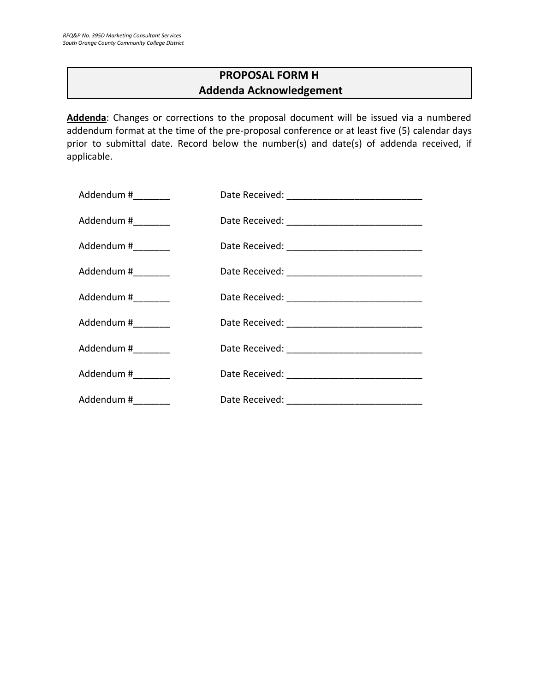# **PROPOSAL FORM H Addenda Acknowledgement**

<span id="page-27-0"></span>**Addenda**: Changes or corrections to the proposal document will be issued via a numbered addendum format at the time of the pre-proposal conference or at least five (5) calendar days prior to submittal date. Record below the number(s) and date(s) of addenda received, if applicable.

| Addendum #_________ |  |
|---------------------|--|
| Addendum #_________ |  |
| Addendum #_________ |  |
| Addendum #_________ |  |
| Addendum #________  |  |
| Addendum #_________ |  |
| Addendum #_________ |  |
| Addendum #________  |  |
| Addendum #_________ |  |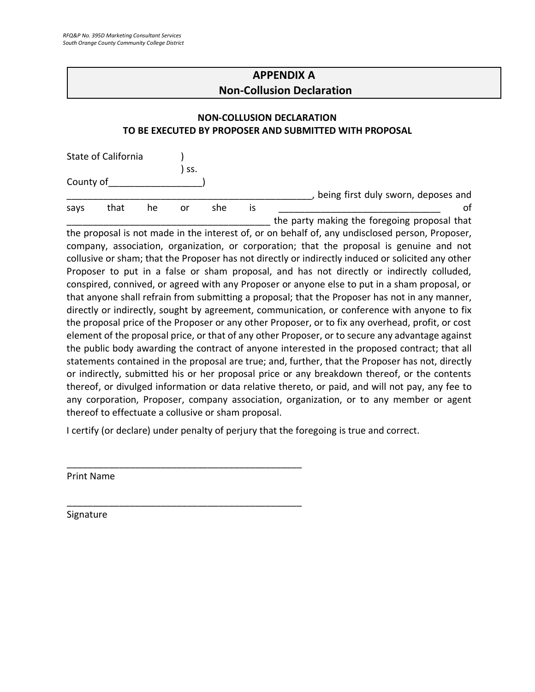# **APPENDIX A Non-Collusion Declaration**

## <span id="page-28-0"></span>**NON-COLLUSION DECLARATION TO BE EXECUTED BY PROPOSER AND SUBMITTED WITH PROPOSAL**

|           | State of California |    |     |     |    |                                              |
|-----------|---------------------|----|-----|-----|----|----------------------------------------------|
|           |                     |    | SS. |     |    |                                              |
| County of |                     |    |     |     |    |                                              |
|           |                     |    |     |     |    | being first duly sworn, deposes and          |
| says      | that                | he | or  | she | ıs |                                              |
|           |                     |    |     |     |    | the party making the foregoing proposal that |

the proposal is not made in the interest of, or on behalf of, any undisclosed person, Proposer, company, association, organization, or corporation; that the proposal is genuine and not collusive or sham; that the Proposer has not directly or indirectly induced or solicited any other Proposer to put in a false or sham proposal, and has not directly or indirectly colluded, conspired, connived, or agreed with any Proposer or anyone else to put in a sham proposal, or that anyone shall refrain from submitting a proposal; that the Proposer has not in any manner, directly or indirectly, sought by agreement, communication, or conference with anyone to fix the proposal price of the Proposer or any other Proposer, or to fix any overhead, profit, or cost element of the proposal price, or that of any other Proposer, or to secure any advantage against the public body awarding the contract of anyone interested in the proposed contract; that all statements contained in the proposal are true; and, further, that the Proposer has not, directly or indirectly, submitted his or her proposal price or any breakdown thereof, or the contents thereof, or divulged information or data relative thereto, or paid, and will not pay, any fee to any corporation, Proposer, company association, organization, or to any member or agent thereof to effectuate a collusive or sham proposal.

I certify (or declare) under penalty of perjury that the foregoing is true and correct.

\_\_\_\_\_\_\_\_\_\_\_\_\_\_\_\_\_\_\_\_\_\_\_\_\_\_\_\_\_\_\_\_\_\_\_\_\_\_\_\_\_\_\_\_\_

\_\_\_\_\_\_\_\_\_\_\_\_\_\_\_\_\_\_\_\_\_\_\_\_\_\_\_\_\_\_\_\_\_\_\_\_\_\_\_\_\_\_\_\_\_

Print Name

Signature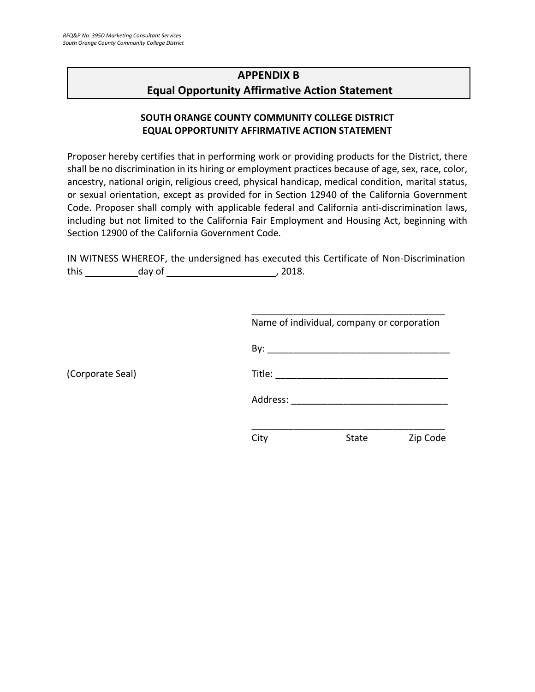(Corporate Seal)

# <span id="page-29-0"></span>**APPENDIX B Equal Opportunity Affirmative Action Statement**

# **SOUTH ORANGE COUNTY COMMUNITY COLLEGE DISTRICT EQUAL OPPORTUNITY AFFIRMATIVE ACTION STATEMENT**

Proposer hereby certifies that in performing work or providing products for the District, there shall be no discrimination in its hiring or employment practices because of age, sex, race, color, ancestry, national origin, religious creed, physical handicap, medical condition, marital status, or sexual orientation, except as provided for in Section 12940 of the California Government Code. Proposer shall comply with applicable federal and California anti-discrimination laws, including but not limited to the California Fair Employment and Housing Act, beginning with Section 12900 of the California Government Code.

IN WITNESS WHEREOF, the undersigned has executed this Certificate of Non-Discrimination this day of , 2018.

|          | Name of individual, company or corporation |          |
|----------|--------------------------------------------|----------|
|          |                                            |          |
|          |                                            |          |
| Address: |                                            |          |
|          |                                            |          |
| City     | State                                      | Zip Code |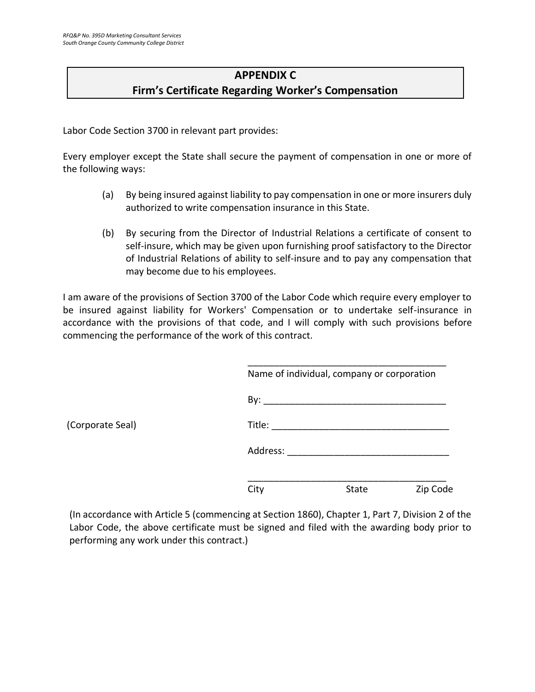# **APPENDIX C Firm's Certificate Regarding Worker's Compensation**

<span id="page-30-0"></span>Labor Code Section 3700 in relevant part provides:

Every employer except the State shall secure the payment of compensation in one or more of the following ways:

- (a) By being insured against liability to pay compensation in one or more insurers duly authorized to write compensation insurance in this State.
- (b) By securing from the Director of Industrial Relations a certificate of consent to self-insure, which may be given upon furnishing proof satisfactory to the Director of Industrial Relations of ability to self-insure and to pay any compensation that may become due to his employees.

I am aware of the provisions of Section 3700 of the Labor Code which require every employer to be insured against liability for Workers' Compensation or to undertake self-insurance in accordance with the provisions of that code, and I will comply with such provisions before commencing the performance of the work of this contract.

|          | Name of individual, company or corporation |          |
|----------|--------------------------------------------|----------|
|          |                                            |          |
| Title:   |                                            |          |
| Address: |                                            |          |
| City     | <b>State</b>                               | Zip Code |

(In accordance with Article 5 (commencing at Section 1860), Chapter 1, Part 7, Division 2 of the Labor Code, the above certificate must be signed and filed with the awarding body prior to performing any work under this contract.)

(Corporate Seal)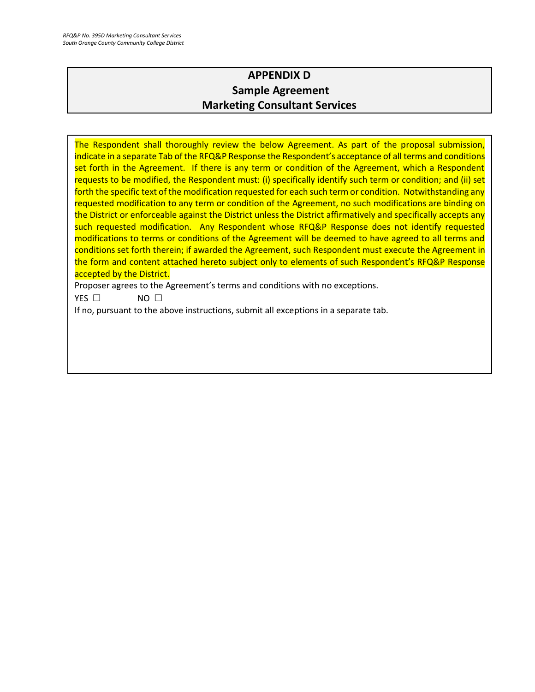# **APPENDIX D Sample Agreement Marketing Consultant Services**

<span id="page-31-0"></span>The Respondent shall thoroughly review the below Agreement. As part of the proposal submission, indicate in a separate Tab of the RFQ&P Response the Respondent's acceptance of all terms and conditions set forth in the Agreement. If there is any term or condition of the Agreement, which a Respondent requests to be modified, the Respondent must: (i) specifically identify such term or condition; and (ii) set forth the specific text of the modification requested for each such term or condition. Notwithstanding any requested modification to any term or condition of the Agreement, no such modifications are binding on the District or enforceable against the District unless the District affirmatively and specifically accepts any such requested modification. Any Respondent whose RFQ&P Response does not identify requested modifications to terms or conditions of the Agreement will be deemed to have agreed to all terms and conditions set forth therein; if awarded the Agreement, such Respondent must execute the Agreement in the form and content attached hereto subject only to elements of such Respondent's RFQ&P Response accepted by the District.

Proposer agrees to the Agreement's terms and conditions with no exceptions.

YES □ NO □

If no, pursuant to the above instructions, submit all exceptions in a separate tab.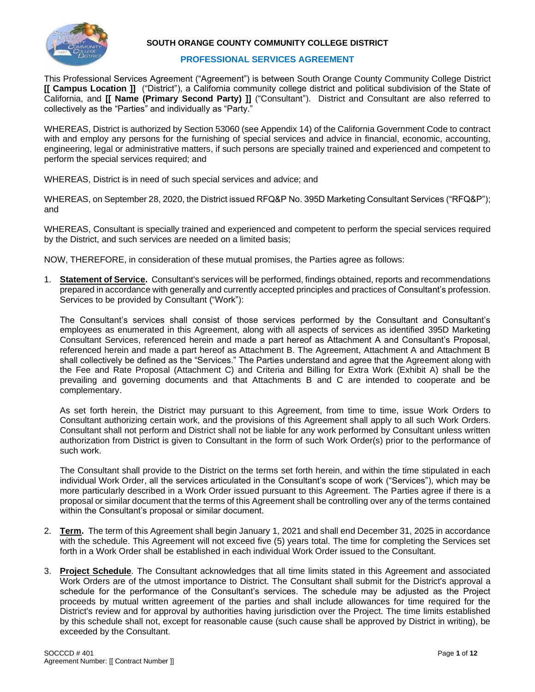

#### **SOUTH ORANGE COUNTY COMMUNITY COLLEGE DISTRICT**

#### **PROFESSIONAL SERVICES AGREEMENT**

This Professional Services Agreement ("Agreement") is between South Orange County Community College District **[[ Campus Location ]]** ("District"), a California community college district and political subdivision of the State of California, and **[[ Name (Primary Second Party) ]]** ("Consultant"). District and Consultant are also referred to collectively as the "Parties" and individually as "Party."

WHEREAS, District is authorized by Section 53060 (see Appendix 14) of the California Government Code to contract with and employ any persons for the furnishing of special services and advice in financial, economic, accounting, engineering, legal or administrative matters, if such persons are specially trained and experienced and competent to perform the special services required; and

WHEREAS, District is in need of such special services and advice; and

WHEREAS, on September 28, 2020, the District issued RFQ&P No. 395D Marketing Consultant Services ("RFQ&P"); and

WHEREAS, Consultant is specially trained and experienced and competent to perform the special services required by the District, and such services are needed on a limited basis;

NOW, THEREFORE, in consideration of these mutual promises, the Parties agree as follows:

1. **Statement of Service.** Consultant's services will be performed, findings obtained, reports and recommendations prepared in accordance with generally and currently accepted principles and practices of Consultant's profession. Services to be provided by Consultant ("Work"):

The Consultant's services shall consist of those services performed by the Consultant and Consultant's employees as enumerated in this Agreement, along with all aspects of services as identified 395D Marketing Consultant Services, referenced herein and made a part hereof as Attachment A and Consultant's Proposal, referenced herein and made a part hereof as Attachment B. The Agreement, Attachment A and Attachment B shall collectively be defined as the "Services." The Parties understand and agree that the Agreement along with the Fee and Rate Proposal (Attachment C) and Criteria and Billing for Extra Work (Exhibit A) shall be the prevailing and governing documents and that Attachments B and C are intended to cooperate and be complementary.

As set forth herein, the District may pursuant to this Agreement, from time to time, issue Work Orders to Consultant authorizing certain work, and the provisions of this Agreement shall apply to all such Work Orders. Consultant shall not perform and District shall not be liable for any work performed by Consultant unless written authorization from District is given to Consultant in the form of such Work Order(s) prior to the performance of such work.

The Consultant shall provide to the District on the terms set forth herein, and within the time stipulated in each individual Work Order, all the services articulated in the Consultant's scope of work ("Services"), which may be more particularly described in a Work Order issued pursuant to this Agreement. The Parties agree if there is a proposal or similar document that the terms of this Agreement shall be controlling over any of the terms contained within the Consultant's proposal or similar document.

- 2. **Term.** The term of this Agreement shall begin January 1, 2021 and shall end December 31, 2025 in accordance with the schedule. This Agreement will not exceed five (5) years total. The time for completing the Services set forth in a Work Order shall be established in each individual Work Order issued to the Consultant.
- 3. **Project Schedule**. The Consultant acknowledges that all time limits stated in this Agreement and associated Work Orders are of the utmost importance to District. The Consultant shall submit for the District's approval a schedule for the performance of the Consultant's services. The schedule may be adjusted as the Project proceeds by mutual written agreement of the parties and shall include allowances for time required for the District's review and for approval by authorities having jurisdiction over the Project. The time limits established by this schedule shall not, except for reasonable cause (such cause shall be approved by District in writing), be exceeded by the Consultant.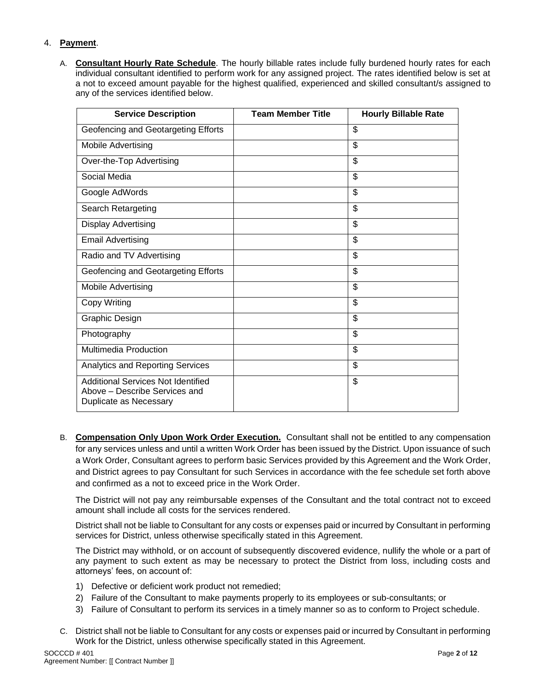#### 4. **Payment**.

A. **Consultant Hourly Rate Schedule**. The hourly billable rates include fully burdened hourly rates for each individual consultant identified to perform work for any assigned project. The rates identified below is set at a not to exceed amount payable for the highest qualified, experienced and skilled consultant/s assigned to any of the services identified below.

| <b>Service Description</b>                                                                           | <b>Team Member Title</b> | <b>Hourly Billable Rate</b> |
|------------------------------------------------------------------------------------------------------|--------------------------|-----------------------------|
| Geofencing and Geotargeting Efforts                                                                  |                          | \$                          |
| <b>Mobile Advertising</b>                                                                            |                          | \$                          |
| Over-the-Top Advertising                                                                             |                          | \$                          |
| Social Media                                                                                         |                          | \$                          |
| Google AdWords                                                                                       |                          | \$                          |
| Search Retargeting                                                                                   |                          | \$                          |
| <b>Display Advertising</b>                                                                           |                          | \$                          |
| <b>Email Advertising</b>                                                                             |                          | \$                          |
| Radio and TV Advertising                                                                             |                          | \$                          |
| Geofencing and Geotargeting Efforts                                                                  |                          | \$                          |
| <b>Mobile Advertising</b>                                                                            |                          | \$                          |
| Copy Writing                                                                                         |                          | \$                          |
| Graphic Design                                                                                       |                          | \$                          |
| Photography                                                                                          |                          | \$                          |
| <b>Multimedia Production</b>                                                                         |                          | \$                          |
| Analytics and Reporting Services                                                                     |                          | \$                          |
| <b>Additional Services Not Identified</b><br>Above - Describe Services and<br>Duplicate as Necessary |                          | \$                          |

B. **Compensation Only Upon Work Order Execution.** Consultant shall not be entitled to any compensation for any services unless and until a written Work Order has been issued by the District. Upon issuance of such a Work Order, Consultant agrees to perform basic Services provided by this Agreement and the Work Order, and District agrees to pay Consultant for such Services in accordance with the fee schedule set forth above and confirmed as a not to exceed price in the Work Order.

The District will not pay any reimbursable expenses of the Consultant and the total contract not to exceed amount shall include all costs for the services rendered.

District shall not be liable to Consultant for any costs or expenses paid or incurred by Consultant in performing services for District, unless otherwise specifically stated in this Agreement.

The District may withhold, or on account of subsequently discovered evidence, nullify the whole or a part of any payment to such extent as may be necessary to protect the District from loss, including costs and attorneys' fees, on account of:

- 1) Defective or deficient work product not remedied;
- 2) Failure of the Consultant to make payments properly to its employees or sub-consultants; or
- 3) Failure of Consultant to perform its services in a timely manner so as to conform to Project schedule.
- C. District shall not be liable to Consultant for any costs or expenses paid or incurred by Consultant in performing Work for the District, unless otherwise specifically stated in this Agreement.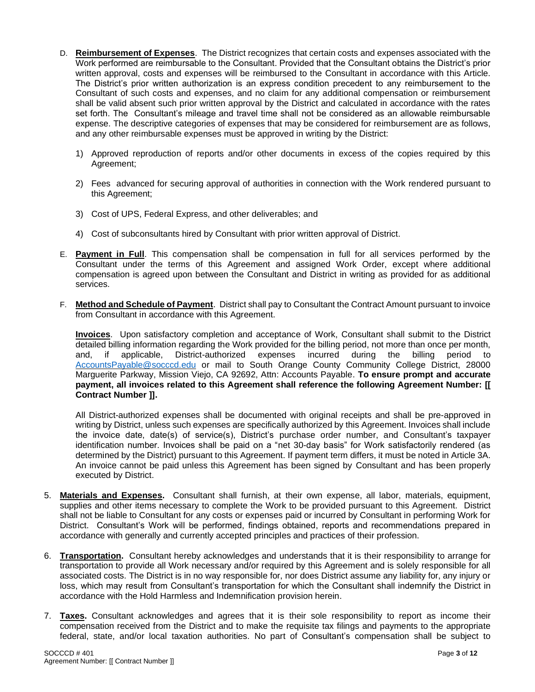- D. **Reimbursement of Expenses**. The District recognizes that certain costs and expenses associated with the Work performed are reimbursable to the Consultant. Provided that the Consultant obtains the District's prior written approval, costs and expenses will be reimbursed to the Consultant in accordance with this Article. The District's prior written authorization is an express condition precedent to any reimbursement to the Consultant of such costs and expenses, and no claim for any additional compensation or reimbursement shall be valid absent such prior written approval by the District and calculated in accordance with the rates set forth. The Consultant's mileage and travel time shall not be considered as an allowable reimbursable expense. The descriptive categories of expenses that may be considered for reimbursement are as follows, and any other reimbursable expenses must be approved in writing by the District:
	- 1) Approved reproduction of reports and/or other documents in excess of the copies required by this Agreement;
	- 2) Fees advanced for securing approval of authorities in connection with the Work rendered pursuant to this Agreement;
	- 3) Cost of UPS, Federal Express, and other deliverables; and
	- 4) Cost of subconsultants hired by Consultant with prior written approval of District.
- E. **Payment in Full**. This compensation shall be compensation in full for all services performed by the Consultant under the terms of this Agreement and assigned Work Order, except where additional compensation is agreed upon between the Consultant and District in writing as provided for as additional services.
- F. **Method and Schedule of Payment**. District shall pay to Consultant the Contract Amount pursuant to invoice from Consultant in accordance with this Agreement.

**Invoices**. Upon satisfactory completion and acceptance of Work, Consultant shall submit to the District detailed billing information regarding the Work provided for the billing period, not more than once per month, and, if applicable, District-authorized expenses incurred during the billing period to and, if applicable, District-authorized expenses incurred during the billing period to [AccountsPayable@socccd.edu](mailto:AccountsPayable@socccd.edu) or mail to South Orange County Community College District, 28000 Marguerite Parkway, Mission Viejo, CA 92692, Attn: Accounts Payable. **To ensure prompt and accurate payment, all invoices related to this Agreement shall reference the following Agreement Number: [[ Contract Number ]].**

All District-authorized expenses shall be documented with original receipts and shall be pre-approved in writing by District, unless such expenses are specifically authorized by this Agreement. Invoices shall include the invoice date, date(s) of service(s), District's purchase order number, and Consultant's taxpayer identification number. Invoices shall be paid on a "net 30-day basis" for Work satisfactorily rendered (as determined by the District) pursuant to this Agreement. If payment term differs, it must be noted in Article 3A. An invoice cannot be paid unless this Agreement has been signed by Consultant and has been properly executed by District.

- 5. **Materials and Expenses.** Consultant shall furnish, at their own expense, all labor, materials, equipment, supplies and other items necessary to complete the Work to be provided pursuant to this Agreement. District shall not be liable to Consultant for any costs or expenses paid or incurred by Consultant in performing Work for District. Consultant's Work will be performed, findings obtained, reports and recommendations prepared in accordance with generally and currently accepted principles and practices of their profession.
- 6. **Transportation.** Consultant hereby acknowledges and understands that it is their responsibility to arrange for transportation to provide all Work necessary and/or required by this Agreement and is solely responsible for all associated costs. The District is in no way responsible for, nor does District assume any liability for, any injury or loss, which may result from Consultant's transportation for which the Consultant shall indemnify the District in accordance with the Hold Harmless and Indemnification provision herein.
- 7. **Taxes.** Consultant acknowledges and agrees that it is their sole responsibility to report as income their compensation received from the District and to make the requisite tax filings and payments to the appropriate federal, state, and/or local taxation authorities. No part of Consultant's compensation shall be subject to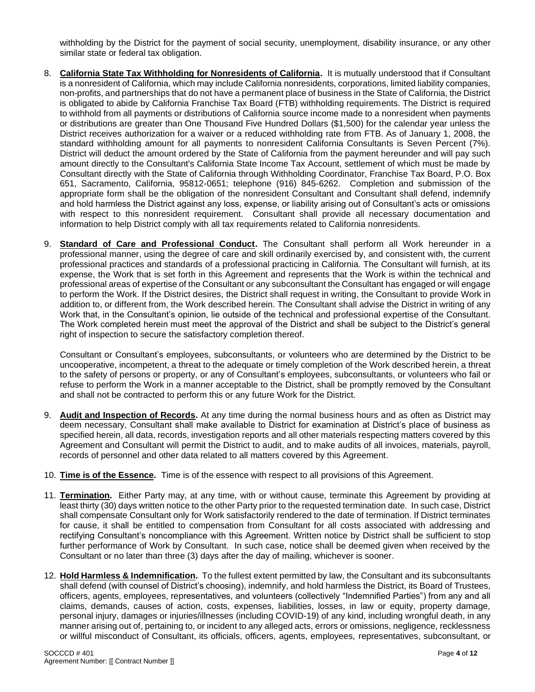withholding by the District for the payment of social security, unemployment, disability insurance, or any other similar state or federal tax obligation.

- 8. **California State Tax Withholding for Nonresidents of California.** It is mutually understood that if Consultant is a nonresident of California, which may include California nonresidents, corporations, limited liability companies, non-profits, and partnerships that do not have a permanent place of business in the State of California, the District is obligated to abide by California Franchise Tax Board (FTB) withholding requirements. The District is required to withhold from all payments or distributions of California source income made to a nonresident when payments or distributions are greater than One Thousand Five Hundred Dollars (\$1,500) for the calendar year unless the District receives authorization for a waiver or a reduced withholding rate from FTB. As of January 1, 2008, the standard withholding amount for all payments to nonresident California Consultants is Seven Percent (7%). District will deduct the amount ordered by the State of California from the payment hereunder and will pay such amount directly to the Consultant's California State Income Tax Account, settlement of which must be made by Consultant directly with the State of California through Withholding Coordinator, Franchise Tax Board, P.O. Box 651, Sacramento, California, 95812-0651; telephone (916) 845-6262. Completion and submission of the appropriate form shall be the obligation of the nonresident Consultant and Consultant shall defend, indemnify and hold harmless the District against any loss, expense, or liability arising out of Consultant's acts or omissions with respect to this nonresident requirement. Consultant shall provide all necessary documentation and information to help District comply with all tax requirements related to California nonresidents.
- 9. **Standard of Care and Professional Conduct.** The Consultant shall perform all Work hereunder in a professional manner, using the degree of care and skill ordinarily exercised by, and consistent with, the current professional practices and standards of a professional practicing in California. The Consultant will furnish, at its expense, the Work that is set forth in this Agreement and represents that the Work is within the technical and professional areas of expertise of the Consultant or any subconsultant the Consultant has engaged or will engage to perform the Work. If the District desires, the District shall request in writing, the Consultant to provide Work in addition to, or different from, the Work described herein. The Consultant shall advise the District in writing of any Work that, in the Consultant's opinion, lie outside of the technical and professional expertise of the Consultant. The Work completed herein must meet the approval of the District and shall be subject to the District's general right of inspection to secure the satisfactory completion thereof.

Consultant or Consultant's employees, subconsultants, or volunteers who are determined by the District to be uncooperative, incompetent, a threat to the adequate or timely completion of the Work described herein, a threat to the safety of persons or property, or any of Consultant's employees, subconsultants, or volunteers who fail or refuse to perform the Work in a manner acceptable to the District, shall be promptly removed by the Consultant and shall not be contracted to perform this or any future Work for the District.

- 9. **Audit and Inspection of Records.** At any time during the normal business hours and as often as District may deem necessary, Consultant shall make available to District for examination at District's place of business as specified herein, all data, records, investigation reports and all other materials respecting matters covered by this Agreement and Consultant will permit the District to audit, and to make audits of all invoices, materials, payroll, records of personnel and other data related to all matters covered by this Agreement.
- 10. **Time is of the Essence.** Time is of the essence with respect to all provisions of this Agreement.
- 11. **Termination.** Either Party may, at any time, with or without cause, terminate this Agreement by providing at least thirty (30) days written notice to the other Party prior to the requested termination date. In such case, District shall compensate Consultant only for Work satisfactorily rendered to the date of termination. If District terminates for cause, it shall be entitled to compensation from Consultant for all costs associated with addressing and rectifying Consultant's noncompliance with this Agreement. Written notice by District shall be sufficient to stop further performance of Work by Consultant. In such case, notice shall be deemed given when received by the Consultant or no later than three (3) days after the day of mailing, whichever is sooner.
- 12. **Hold Harmless & Indemnification.** To the fullest extent permitted by law, the Consultant and its subconsultants shall defend (with counsel of District's choosing), indemnify, and hold harmless the District, its Board of Trustees, officers, agents, employees, representatives, and volunteers (collectively "Indemnified Parties") from any and all claims, demands, causes of action, costs, expenses, liabilities, losses, in law or equity, property damage, personal injury, damages or injuries/illnesses (including COVID-19) of any kind, including wrongful death, in any manner arising out of, pertaining to, or incident to any alleged acts, errors or omissions, negligence, recklessness or willful misconduct of Consultant, its officials, officers, agents, employees, representatives, subconsultant, or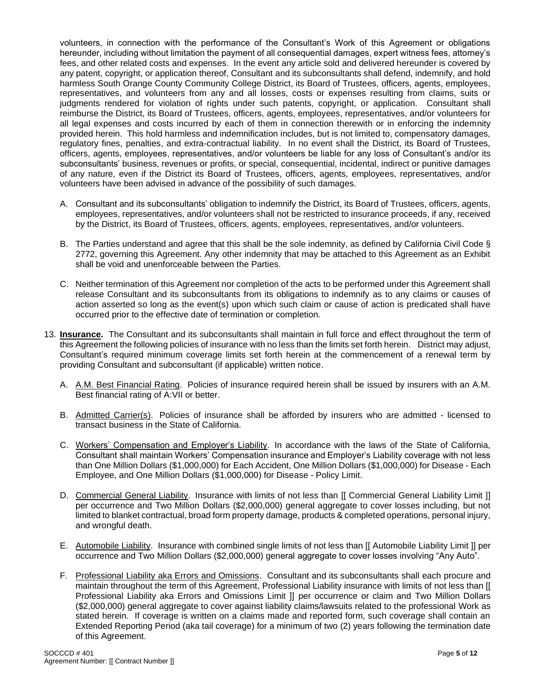volunteers, in connection with the performance of the Consultant's Work of this Agreement or obligations hereunder, including without limitation the payment of all consequential damages, expert witness fees, attorney's fees, and other related costs and expenses. In the event any article sold and delivered hereunder is covered by any patent, copyright, or application thereof, Consultant and its subconsultants shall defend, indemnify, and hold harmless South Orange County Community College District, its Board of Trustees, officers, agents, employees, representatives, and volunteers from any and all losses, costs or expenses resulting from claims, suits or judgments rendered for violation of rights under such patents, copyright, or application. Consultant shall reimburse the District, its Board of Trustees, officers, agents, employees, representatives, and/or volunteers for all legal expenses and costs incurred by each of them in connection therewith or in enforcing the indemnity provided herein. This hold harmless and indemnification includes, but is not limited to, compensatory damages, regulatory fines, penalties, and extra-contractual liability. In no event shall the District, its Board of Trustees, officers, agents, employees, representatives, and/or volunteers be liable for any loss of Consultant's and/or its subconsultants' business, revenues or profits, or special, consequential, incidental, indirect or punitive damages of any nature, even if the District its Board of Trustees, officers, agents, employees, representatives, and/or volunteers have been advised in advance of the possibility of such damages.

- A. Consultant and its subconsultants' obligation to indemnify the District, its Board of Trustees, officers, agents, employees, representatives, and/or volunteers shall not be restricted to insurance proceeds, if any, received by the District, its Board of Trustees, officers, agents, employees, representatives, and/or volunteers.
- B. The Parties understand and agree that this shall be the sole indemnity, as defined by California Civil Code § 2772, governing this Agreement. Any other indemnity that may be attached to this Agreement as an Exhibit shall be void and unenforceable between the Parties.
- C. Neither termination of this Agreement nor completion of the acts to be performed under this Agreement shall release Consultant and its subconsultants from its obligations to indemnify as to any claims or causes of action asserted so long as the event(s) upon which such claim or cause of action is predicated shall have occurred prior to the effective date of termination or completion.
- 13. **Insurance.** The Consultant and its subconsultants shall maintain in full force and effect throughout the term of this Agreement the following policies of insurance with no less than the limits set forth herein. District may adjust, Consultant's required minimum coverage limits set forth herein at the commencement of a renewal term by providing Consultant and subconsultant (if applicable) written notice.
	- A. A.M. Best Financial Rating. Policies of insurance required herein shall be issued by insurers with an A.M. Best financial rating of A:VII or better.
	- B. Admitted Carrier(s). Policies of insurance shall be afforded by insurers who are admitted licensed to transact business in the State of California.
	- C. Workers' Compensation and Employer's Liability.In accordance with the laws of the State of California, Consultant shall maintain Workers' Compensation insurance and Employer's Liability coverage with not less than One Million Dollars (\$1,000,000) for Each Accident, One Million Dollars (\$1,000,000) for Disease - Each Employee, and One Million Dollars (\$1,000,000) for Disease - Policy Limit.
	- D. Commercial General Liability. Insurance with limits of not less than [[ Commercial General Liability Limit ]] per occurrence and Two Million Dollars (\$2,000,000) general aggregate to cover losses including, but not limited to blanket contractual, broad form property damage, products & completed operations, personal injury, and wrongful death.
	- E. Automobile Liability. Insurance with combined single limits of not less than [[ Automobile Liability Limit ]] per occurrence and Two Million Dollars (\$2,000,000) general aggregate to cover losses involving "Any Auto".
	- F. Professional Liability aka Errors and Omissions.Consultant and its subconsultants shall each procure and maintain throughout the term of this Agreement, Professional Liability insurance with limits of not less than [[ Professional Liability aka Errors and Omissions Limit ]] per occurrence or claim and Two Million Dollars (\$2,000,000) general aggregate to cover against liability claims/lawsuits related to the professional Work as stated herein. If coverage is written on a claims made and reported form, such coverage shall contain an Extended Reporting Period (aka tail coverage) for a minimum of two (2) years following the termination date of this Agreement.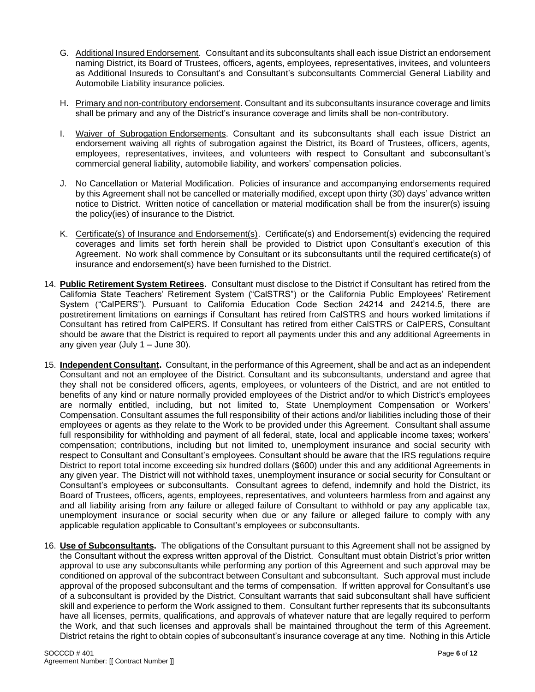- G. Additional Insured Endorsement. Consultant and its subconsultants shall each issue District an endorsement naming District, its Board of Trustees, officers, agents, employees, representatives, invitees, and volunteers as Additional Insureds to Consultant's and Consultant's subconsultants Commercial General Liability and Automobile Liability insurance policies.
- H. Primary and non-contributory endorsement. Consultant and its subconsultants insurance coverage and limits shall be primary and any of the District's insurance coverage and limits shall be non-contributory.
- I. Waiver of Subrogation Endorsements. Consultant and its subconsultants shall each issue District an endorsement waiving all rights of subrogation against the District, its Board of Trustees, officers, agents, employees, representatives, invitees, and volunteers with respect to Consultant and subconsultant's commercial general liability, automobile liability, and workers' compensation policies.
- J. No Cancellation or Material Modification. Policies of insurance and accompanying endorsements required by this Agreement shall not be cancelled or materially modified, except upon thirty (30) days' advance written notice to District. Written notice of cancellation or material modification shall be from the insurer(s) issuing the policy(ies) of insurance to the District.
- K. Certificate(s) of Insurance and Endorsement(s). Certificate(s) and Endorsement(s) evidencing the required coverages and limits set forth herein shall be provided to District upon Consultant's execution of this Agreement. No work shall commence by Consultant or its subconsultants until the required certificate(s) of insurance and endorsement(s) have been furnished to the District.
- 14. **Public Retirement System Retirees.** Consultant must disclose to the District if Consultant has retired from the California State Teachers' Retirement System ("CalSTRS") or the California Public Employees' Retirement System ("CalPERS"). Pursuant to California Education Code Section 24214 and 24214.5, there are postretirement limitations on earnings if Consultant has retired from CalSTRS and hours worked limitations if Consultant has retired from CalPERS. If Consultant has retired from either CalSTRS or CalPERS, Consultant should be aware that the District is required to report all payments under this and any additional Agreements in any given year (July 1 – June 30).
- 15. **Independent Consultant.** Consultant, in the performance of this Agreement, shall be and act as an independent Consultant and not an employee of the District. Consultant and its subconsultants, understand and agree that they shall not be considered officers, agents, employees, or volunteers of the District, and are not entitled to benefits of any kind or nature normally provided employees of the District and/or to which District's employees are normally entitled, including, but not limited to, State Unemployment Compensation or Workers' Compensation. Consultant assumes the full responsibility of their actions and/or liabilities including those of their employees or agents as they relate to the Work to be provided under this Agreement. Consultant shall assume full responsibility for withholding and payment of all federal, state, local and applicable income taxes; workers' compensation; contributions, including but not limited to, unemployment insurance and social security with respect to Consultant and Consultant's employees. Consultant should be aware that the IRS regulations require District to report total income exceeding six hundred dollars (\$600) under this and any additional Agreements in any given year. The District will not withhold taxes, unemployment insurance or social security for Consultant or Consultant's employees or subconsultants. Consultant agrees to defend, indemnify and hold the District, its Board of Trustees, officers, agents, employees, representatives, and volunteers harmless from and against any and all liability arising from any failure or alleged failure of Consultant to withhold or pay any applicable tax, unemployment insurance or social security when due or any failure or alleged failure to comply with any applicable regulation applicable to Consultant's employees or subconsultants.
- 16. **Use of Subconsultants.** The obligations of the Consultant pursuant to this Agreement shall not be assigned by the Consultant without the express written approval of the District. Consultant must obtain District's prior written approval to use any subconsultants while performing any portion of this Agreement and such approval may be conditioned on approval of the subcontract between Consultant and subconsultant. Such approval must include approval of the proposed subconsultant and the terms of compensation. If written approval for Consultant's use of a subconsultant is provided by the District, Consultant warrants that said subconsultant shall have sufficient skill and experience to perform the Work assigned to them. Consultant further represents that its subconsultants have all licenses, permits, qualifications, and approvals of whatever nature that are legally required to perform the Work, and that such licenses and approvals shall be maintained throughout the term of this Agreement. District retains the right to obtain copies of subconsultant's insurance coverage at any time. Nothing in this Article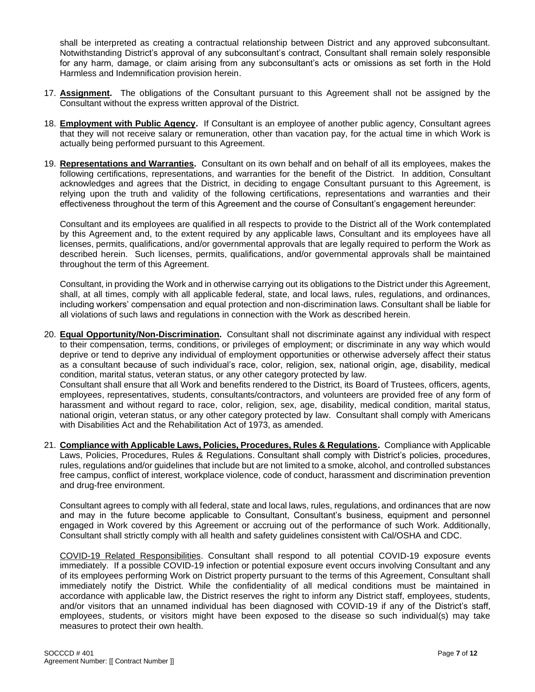shall be interpreted as creating a contractual relationship between District and any approved subconsultant. Notwithstanding District's approval of any subconsultant's contract, Consultant shall remain solely responsible for any harm, damage, or claim arising from any subconsultant's acts or omissions as set forth in the Hold Harmless and Indemnification provision herein.

- 17. **Assignment.** The obligations of the Consultant pursuant to this Agreement shall not be assigned by the Consultant without the express written approval of the District.
- 18. **Employment with Public Agency.** If Consultant is an employee of another public agency, Consultant agrees that they will not receive salary or remuneration, other than vacation pay, for the actual time in which Work is actually being performed pursuant to this Agreement.
- 19. **Representations and Warranties.** Consultant on its own behalf and on behalf of all its employees, makes the following certifications, representations, and warranties for the benefit of the District. In addition, Consultant acknowledges and agrees that the District, in deciding to engage Consultant pursuant to this Agreement, is relying upon the truth and validity of the following certifications, representations and warranties and their effectiveness throughout the term of this Agreement and the course of Consultant's engagement hereunder:

Consultant and its employees are qualified in all respects to provide to the District all of the Work contemplated by this Agreement and, to the extent required by any applicable laws, Consultant and its employees have all licenses, permits, qualifications, and/or governmental approvals that are legally required to perform the Work as described herein. Such licenses, permits, qualifications, and/or governmental approvals shall be maintained throughout the term of this Agreement.

Consultant, in providing the Work and in otherwise carrying out its obligations to the District under this Agreement, shall, at all times, comply with all applicable federal, state, and local laws, rules, regulations, and ordinances, including workers' compensation and equal protection and non-discrimination laws. Consultant shall be liable for all violations of such laws and regulations in connection with the Work as described herein.

- 20. **Equal Opportunity/Non-Discrimination.** Consultant shall not discriminate against any individual with respect to their compensation, terms, conditions, or privileges of employment; or discriminate in any way which would deprive or tend to deprive any individual of employment opportunities or otherwise adversely affect their status as a consultant because of such individual's race, color, religion, sex, national origin, age, disability, medical condition, marital status, veteran status, or any other category protected by law. Consultant shall ensure that all Work and benefits rendered to the District, its Board of Trustees, officers, agents, employees, representatives, students, consultants/contractors, and volunteers are provided free of any form of harassment and without regard to race, color, religion, sex, age, disability, medical condition, marital status, national origin, veteran status, or any other category protected by law. Consultant shall comply with Americans with Disabilities Act and the Rehabilitation Act of 1973, as amended.
- 21. **Compliance with Applicable Laws, Policies, Procedures, Rules & Regulations.** Compliance with Applicable Laws, Policies, Procedures, Rules & Regulations. Consultant shall comply with District's policies, procedures, rules, regulations and/or guidelines that include but are not limited to a smoke, alcohol, and controlled substances free campus, conflict of interest, workplace violence, code of conduct, harassment and discrimination prevention and drug-free environment.

Consultant agrees to comply with all federal, state and local laws, rules, regulations, and ordinances that are now and may in the future become applicable to Consultant, Consultant's business, equipment and personnel engaged in Work covered by this Agreement or accruing out of the performance of such Work. Additionally, Consultant shall strictly comply with all health and safety guidelines consistent with Cal/OSHA and CDC.

COVID-19 Related Responsibilities. Consultant shall respond to all potential COVID-19 exposure events immediately. If a possible COVID-19 infection or potential exposure event occurs involving Consultant and any of its employees performing Work on District property pursuant to the terms of this Agreement, Consultant shall immediately notify the District. While the confidentiality of all medical conditions must be maintained in accordance with applicable law, the District reserves the right to inform any District staff, employees, students, and/or visitors that an unnamed individual has been diagnosed with COVID-19 if any of the District's staff, employees, students, or visitors might have been exposed to the disease so such individual(s) may take measures to protect their own health.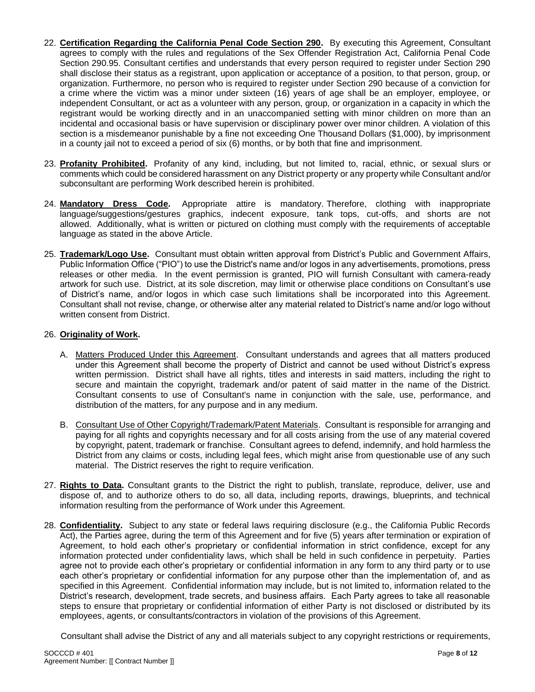- 22. **Certification Regarding the California Penal Code Section 290.** By executing this Agreement, Consultant agrees to comply with the rules and regulations of the Sex Offender Registration Act, California Penal Code Section 290.95. Consultant certifies and understands that every person required to register under Section 290 shall disclose their status as a registrant, upon application or acceptance of a position, to that person, group, or organization. Furthermore, no person who is required to register under Section 290 because of a conviction for a crime where the victim was a minor under sixteen (16) years of age shall be an employer, employee, or independent Consultant, or act as a volunteer with any person, group, or organization in a capacity in which the registrant would be working directly and in an unaccompanied setting with minor children on more than an incidental and occasional basis or have supervision or disciplinary power over minor children. A violation of this section is a misdemeanor punishable by a fine not exceeding One Thousand Dollars (\$1,000), by imprisonment in a county jail not to exceed a period of six (6) months, or by both that fine and imprisonment.
- 23. **Profanity Prohibited.** Profanity of any kind, including, but not limited to, racial, ethnic, or sexual slurs or comments which could be considered harassment on any District property or any property while Consultant and/or subconsultant are performing Work described herein is prohibited.
- 24. **Mandatory Dress Code.** Appropriate attire is mandatory. Therefore, clothing with inappropriate language/suggestions/gestures graphics, indecent exposure, tank tops, cut-offs, and shorts are not allowed. Additionally, what is written or pictured on clothing must comply with the requirements of acceptable language as stated in the above Article.
- 25. **Trademark/Logo Use.** Consultant must obtain written approval from District's Public and Government Affairs, Public Information Office ("PIO") to use the District's name and/or logos in any advertisements, promotions, press releases or other media. In the event permission is granted, PIO will furnish Consultant with camera-ready artwork for such use. District, at its sole discretion, may limit or otherwise place conditions on Consultant's use of District's name, and/or logos in which case such limitations shall be incorporated into this Agreement. Consultant shall not revise, change, or otherwise alter any material related to District's name and/or logo without written consent from District.

#### 26. **Originality of Work.**

- A. Matters Produced Under this Agreement. Consultant understands and agrees that all matters produced under this Agreement shall become the property of District and cannot be used without District's express written permission. District shall have all rights, titles and interests in said matters, including the right to secure and maintain the copyright, trademark and/or patent of said matter in the name of the District. Consultant consents to use of Consultant's name in conjunction with the sale, use, performance, and distribution of the matters, for any purpose and in any medium.
- B. Consultant Use of Other Copyright/Trademark/Patent Materials. Consultant is responsible for arranging and paying for all rights and copyrights necessary and for all costs arising from the use of any material covered by copyright, patent, trademark or franchise. Consultant agrees to defend, indemnify, and hold harmless the District from any claims or costs, including legal fees, which might arise from questionable use of any such material. The District reserves the right to require verification.
- 27. **Rights to Data.** Consultant grants to the District the right to publish, translate, reproduce, deliver, use and dispose of, and to authorize others to do so, all data, including reports, drawings, blueprints, and technical information resulting from the performance of Work under this Agreement.
- 28. **Confidentiality.** Subject to any state or federal laws requiring disclosure (e.g., the California Public Records Act), the Parties agree, during the term of this Agreement and for five (5) years after termination or expiration of Agreement, to hold each other's proprietary or confidential information in strict confidence, except for any information protected under confidentiality laws, which shall be held in such confidence in perpetuity. Parties agree not to provide each other's proprietary or confidential information in any form to any third party or to use each other's proprietary or confidential information for any purpose other than the implementation of, and as specified in this Agreement. Confidential information may include, but is not limited to, information related to the District's research, development, trade secrets, and business affairs. Each Party agrees to take all reasonable steps to ensure that proprietary or confidential information of either Party is not disclosed or distributed by its employees, agents, or consultants/contractors in violation of the provisions of this Agreement.

Consultant shall advise the District of any and all materials subject to any copyright restrictions or requirements,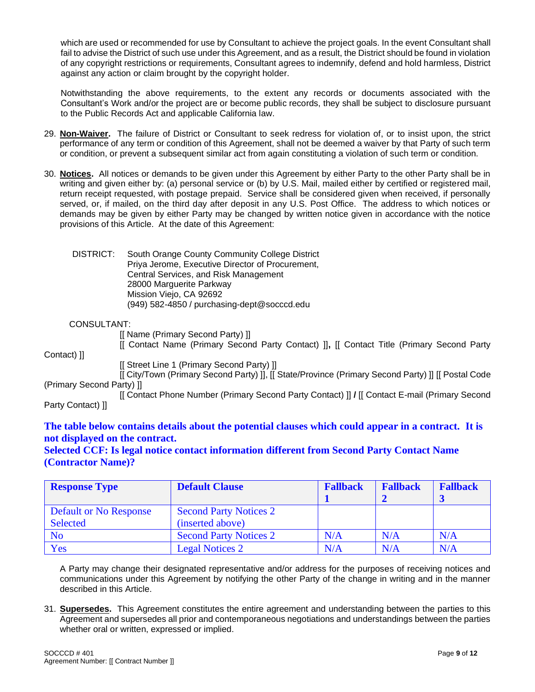which are used or recommended for use by Consultant to achieve the project goals. In the event Consultant shall fail to advise the District of such use under this Agreement, and as a result, the District should be found in violation of any copyright restrictions or requirements, Consultant agrees to indemnify, defend and hold harmless, District against any action or claim brought by the copyright holder.

Notwithstanding the above requirements, to the extent any records or documents associated with the Consultant's Work and/or the project are or become public records, they shall be subject to disclosure pursuant to the Public Records Act and applicable California law.

- 29. **Non-Waiver.** The failure of District or Consultant to seek redress for violation of, or to insist upon, the strict performance of any term or condition of this Agreement, shall not be deemed a waiver by that Party of such term or condition, or prevent a subsequent similar act from again constituting a violation of such term or condition.
- 30. **Notices.** All notices or demands to be given under this Agreement by either Party to the other Party shall be in writing and given either by: (a) personal service or (b) by U.S. Mail, mailed either by certified or registered mail, return receipt requested, with postage prepaid. Service shall be considered given when received, if personally served, or, if mailed, on the third day after deposit in any U.S. Post Office. The address to which notices or demands may be given by either Party may be changed by written notice given in accordance with the notice provisions of this Article. At the date of this Agreement:

| DISTRICT: | South Orange County Community College District   |
|-----------|--------------------------------------------------|
|           | Priya Jerome, Executive Director of Procurement, |
|           | Central Services, and Risk Management            |
|           | 28000 Marguerite Parkway                         |
|           | Mission Viejo, CA 92692                          |
|           | (949) 582-4850 / purchasing-dept@socccd.edu      |

#### CONSULTANT:

[[ Name (Primary Second Party) ]]

[[ Contact Name (Primary Second Party Contact) ]]**,** [[ Contact Title (Primary Second Party Contact) ]]

[[ Street Line 1 (Primary Second Party) ]]

[[ City/Town (Primary Second Party) ]], [[ State/Province (Primary Second Party) ]] [[ Postal Code (Primary Second Party) ]]

[[ Contact Phone Number (Primary Second Party Contact) ]] **/** [[ Contact E-mail (Primary Second Party Contact) ]]

# **The table below contains details about the potential clauses which could appear in a contract. It is not displayed on the contract.**

#### **Selected CCF: Is legal notice contact information different from Second Party Contact Name (Contractor Name)?**

| <b>Response Type</b>          | <b>Default Clause</b>         | <b>Fallback</b> | <b>Fallback</b> | <b>Fallback</b> |
|-------------------------------|-------------------------------|-----------------|-----------------|-----------------|
|                               |                               |                 |                 |                 |
| <b>Default or No Response</b> | <b>Second Party Notices 2</b> |                 |                 |                 |
| <b>Selected</b>               | (inserted above)              |                 |                 |                 |
| N <sub>o</sub>                | <b>Second Party Notices 2</b> | N/A             | N/A             | N/A             |
| Yes                           | <b>Legal Notices 2</b>        | N/A             | N/A             | N/A             |

A Party may change their designated representative and/or address for the purposes of receiving notices and communications under this Agreement by notifying the other Party of the change in writing and in the manner described in this Article.

31. **Supersedes.** This Agreement constitutes the entire agreement and understanding between the parties to this Agreement and supersedes all prior and contemporaneous negotiations and understandings between the parties whether oral or written, expressed or implied.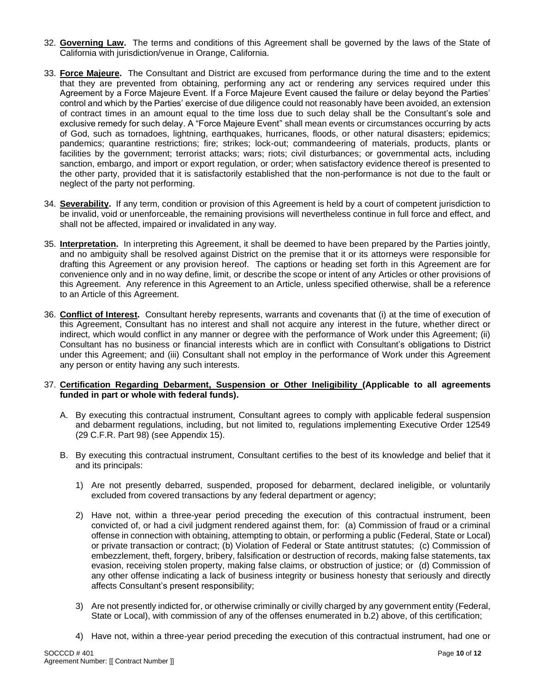- 32. **Governing Law.** The terms and conditions of this Agreement shall be governed by the laws of the State of California with jurisdiction/venue in Orange, California.
- 33. **Force Majeure.** The Consultant and District are excused from performance during the time and to the extent that they are prevented from obtaining, performing any act or rendering any services required under this Agreement by a Force Majeure Event. If a Force Majeure Event caused the failure or delay beyond the Parties' control and which by the Parties' exercise of due diligence could not reasonably have been avoided, an extension of contract times in an amount equal to the time loss due to such delay shall be the Consultant's sole and exclusive remedy for such delay. A "Force Majeure Event" shall mean events or circumstances occurring by acts of God, such as tornadoes, lightning, earthquakes, hurricanes, floods, or other natural disasters; epidemics; pandemics; quarantine restrictions; fire; strikes; lock-out; commandeering of materials, products, plants or facilities by the government; terrorist attacks; wars; riots; civil disturbances; or governmental acts, including sanction, embargo, and import or export regulation, or order; when satisfactory evidence thereof is presented to the other party, provided that it is satisfactorily established that the non-performance is not due to the fault or neglect of the party not performing.
- 34. **Severability.** If any term, condition or provision of this Agreement is held by a court of competent jurisdiction to be invalid, void or unenforceable, the remaining provisions will nevertheless continue in full force and effect, and shall not be affected, impaired or invalidated in any way.
- 35. **Interpretation.** In interpreting this Agreement, it shall be deemed to have been prepared by the Parties jointly, and no ambiguity shall be resolved against District on the premise that it or its attorneys were responsible for drafting this Agreement or any provision hereof. The captions or heading set forth in this Agreement are for convenience only and in no way define, limit, or describe the scope or intent of any Articles or other provisions of this Agreement. Any reference in this Agreement to an Article, unless specified otherwise, shall be a reference to an Article of this Agreement.
- 36. **Conflict of Interest.** Consultant hereby represents, warrants and covenants that (i) at the time of execution of this Agreement, Consultant has no interest and shall not acquire any interest in the future, whether direct or indirect, which would conflict in any manner or degree with the performance of Work under this Agreement; (ii) Consultant has no business or financial interests which are in conflict with Consultant's obligations to District under this Agreement; and (iii) Consultant shall not employ in the performance of Work under this Agreement any person or entity having any such interests.

#### 37. **Certification Regarding Debarment, Suspension or Other Ineligibility (Applicable to all agreements funded in part or whole with federal funds).**

- A. By executing this contractual instrument, Consultant agrees to comply with applicable federal suspension and debarment regulations, including, but not limited to, regulations implementing Executive Order 12549 (29 C.F.R. Part 98) (see Appendix 15).
- B. By executing this contractual instrument, Consultant certifies to the best of its knowledge and belief that it and its principals:
	- 1) Are not presently debarred, suspended, proposed for debarment, declared ineligible, or voluntarily excluded from covered transactions by any federal department or agency;
	- 2) Have not, within a three-year period preceding the execution of this contractual instrument, been convicted of, or had a civil judgment rendered against them, for: (a) Commission of fraud or a criminal offense in connection with obtaining, attempting to obtain, or performing a public (Federal, State or Local) or private transaction or contract; (b) Violation of Federal or State antitrust statutes; (c) Commission of embezzlement, theft, forgery, bribery, falsification or destruction of records, making false statements, tax evasion, receiving stolen property, making false claims, or obstruction of justice; or (d) Commission of any other offense indicating a lack of business integrity or business honesty that seriously and directly affects Consultant's present responsibility;
	- 3) Are not presently indicted for, or otherwise criminally or civilly charged by any government entity (Federal, State or Local), with commission of any of the offenses enumerated in b.2) above, of this certification;
	- 4) Have not, within a three-year period preceding the execution of this contractual instrument, had one or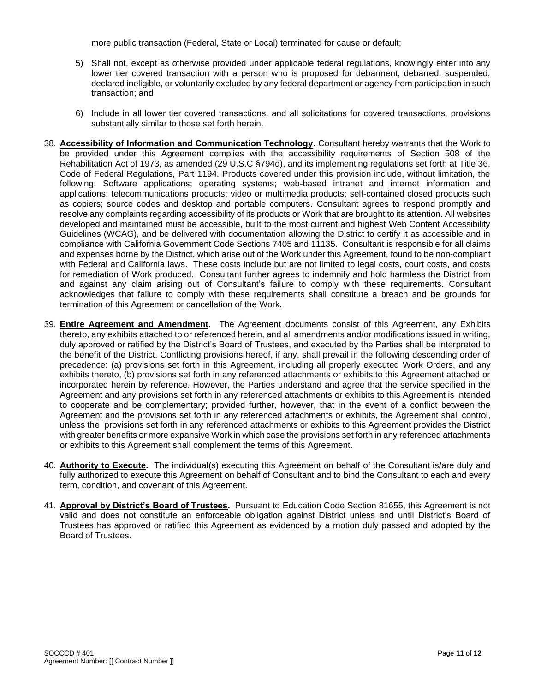more public transaction (Federal, State or Local) terminated for cause or default;

- 5) Shall not, except as otherwise provided under applicable federal regulations, knowingly enter into any lower tier covered transaction with a person who is proposed for debarment, debarred, suspended, declared ineligible, or voluntarily excluded by any federal department or agency from participation in such transaction; and
- 6) Include in all lower tier covered transactions, and all solicitations for covered transactions, provisions substantially similar to those set forth herein.
- 38. **Accessibility of Information and Communication Technology.** Consultant hereby warrants that the Work to be provided under this Agreement complies with the accessibility requirements of Section 508 of the Rehabilitation Act of 1973, as amended (29 U.S.C §794d), and its implementing regulations set forth at Title 36, Code of Federal Regulations, Part 1194. Products covered under this provision include, without limitation, the following: Software applications; operating systems; web-based intranet and internet information and applications; telecommunications products; video or multimedia products; self-contained closed products such as copiers; source codes and desktop and portable computers. Consultant agrees to respond promptly and resolve any complaints regarding accessibility of its products or Work that are brought to its attention. All websites developed and maintained must be accessible, built to the most current and highest Web Content Accessibility Guidelines (WCAG), and be delivered with documentation allowing the District to certify it as accessible and in compliance with California Government Code Sections 7405 and 11135. Consultant is responsible for all claims and expenses borne by the District, which arise out of the Work under this Agreement, found to be non-compliant with Federal and California laws. These costs include but are not limited to legal costs, court costs, and costs for remediation of Work produced. Consultant further agrees to indemnify and hold harmless the District from and against any claim arising out of Consultant's failure to comply with these requirements. Consultant acknowledges that failure to comply with these requirements shall constitute a breach and be grounds for termination of this Agreement or cancellation of the Work.
- 39. **Entire Agreement and Amendment.** The Agreement documents consist of this Agreement, any Exhibits thereto, any exhibits attached to or referenced herein, and all amendments and/or modifications issued in writing, duly approved or ratified by the District's Board of Trustees, and executed by the Parties shall be interpreted to the benefit of the District. Conflicting provisions hereof, if any, shall prevail in the following descending order of precedence: (a) provisions set forth in this Agreement, including all properly executed Work Orders, and any exhibits thereto, (b) provisions set forth in any referenced attachments or exhibits to this Agreement attached or incorporated herein by reference. However, the Parties understand and agree that the service specified in the Agreement and any provisions set forth in any referenced attachments or exhibits to this Agreement is intended to cooperate and be complementary; provided further, however, that in the event of a conflict between the Agreement and the provisions set forth in any referenced attachments or exhibits, the Agreement shall control, unless the provisions set forth in any referenced attachments or exhibits to this Agreement provides the District with greater benefits or more expansive Work in which case the provisions set forth in any referenced attachments or exhibits to this Agreement shall complement the terms of this Agreement.
- 40. **Authority to Execute.** The individual(s) executing this Agreement on behalf of the Consultant is/are duly and fully authorized to execute this Agreement on behalf of Consultant and to bind the Consultant to each and every term, condition, and covenant of this Agreement.
- 41. **Approval by District's Board of Trustees.** Pursuant to Education Code Section 81655, this Agreement is not valid and does not constitute an enforceable obligation against District unless and until District's Board of Trustees has approved or ratified this Agreement as evidenced by a motion duly passed and adopted by the Board of Trustees.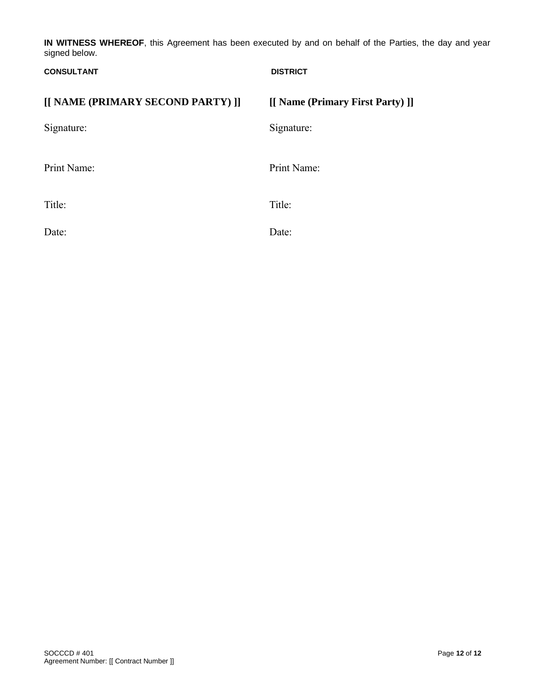**IN WITNESS WHEREOF**, this Agreement has been executed by and on behalf of the Parties, the day and year signed below.

| <b>CONSULTANT</b>                 | <b>DISTRICT</b>                  |
|-----------------------------------|----------------------------------|
| [[ NAME (PRIMARY SECOND PARTY) ]] | [[ Name (Primary First Party) ]] |
| Signature:                        | Signature:                       |
| Print Name:                       | Print Name:                      |
| Title:                            | Title:                           |
| Date:                             | Date:                            |